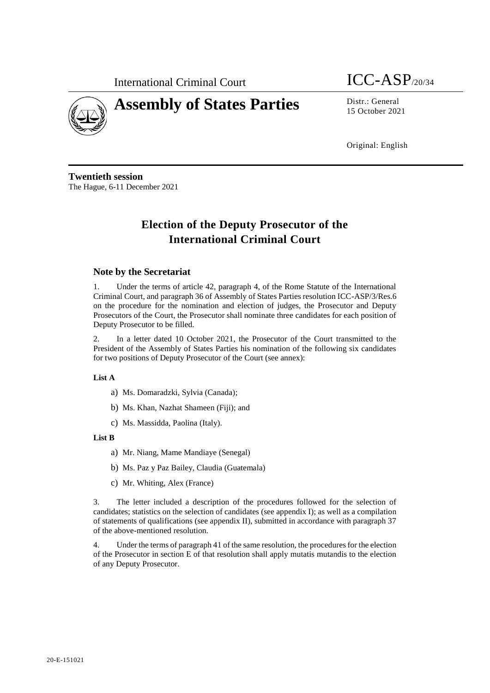International Criminal Court  $\text{ICC-ASP}_{/20/34}$ 



# **Assembly of States Parties** Distr.: General

15 October 2021

Original: English

**Twentieth session** The Hague, 6-11 December 2021

# **Election of the Deputy Prosecutor of the International Criminal Court**

# **Note by the Secretariat**

1. Under the terms of article 42, paragraph 4, of the Rome Statute of the International Criminal Court, and paragraph 36 of Assembly of States Parties resolution ICC-ASP/3/Res.6 on the procedure for the nomination and election of judges, the Prosecutor and Deputy Prosecutors of the Court, the Prosecutor shall nominate three candidates for each position of Deputy Prosecutor to be filled.

2. In a letter dated 10 October 2021, the Prosecutor of the Court transmitted to the President of the Assembly of States Parties his nomination of the following six candidates for two positions of Deputy Prosecutor of the Court (see annex):

### **List A**

- a) Ms. Domaradzki, Sylvia (Canada);
- b) Ms. Khan, Nazhat Shameen (Fiji); and
- c) Ms. Massidda, Paolina (Italy).

### **List B**

- a) Mr. Niang, Mame Mandiaye (Senegal)
- b) Ms. Paz y Paz Bailey, Claudia (Guatemala)
- c) Mr. Whiting, Alex (France)

3. The letter included a description of the procedures followed for the selection of candidates; statistics on the selection of candidates (see appendix I); as well as a compilation of statements of qualifications (see appendix II), submitted in accordance with paragraph 37 of the above-mentioned resolution.

4. Under the terms of paragraph 41 of the same resolution, the procedures for the election of the Prosecutor in section E of that resolution shall apply mutatis mutandis to the election of any Deputy Prosecutor.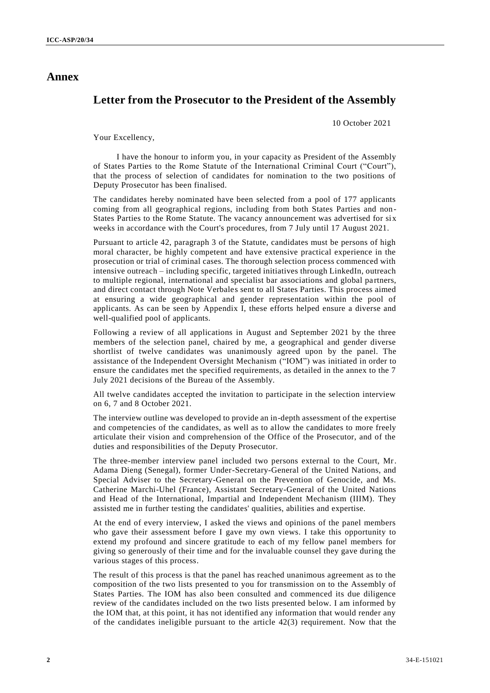# **Annex**

# **Letter from the Prosecutor to the President of the Assembly**

10 October 2021

Your Excellency,

I have the honour to inform you, in your capacity as President of the Assembly of States Parties to the Rome Statute of the International Criminal Court ("Court"), that the process of selection of candidates for nomination to the two positions of Deputy Prosecutor has been finalised.

The candidates hereby nominated have been selected from a pool of 177 applicants coming from all geographical regions, including from both States Parties and non-States Parties to the Rome Statute. The vacancy announcement was advertised for six weeks in accordance with the Court's procedures, from 7 July until 17 August 2021.

Pursuant to article 42, paragraph 3 of the Statute, candidates must be persons of high moral character, be highly competent and have extensive practical experience in the prosecution or trial of criminal cases. The thorough selection process commenced with intensive outreach – including specific, targeted initiatives through LinkedIn, outreach to multiple regional, international and specialist bar associations and global pa rtners, and direct contact through Note Verbales sent to all States Parties. This process aimed at ensuring a wide geographical and gender representation within the pool of applicants. As can be seen by Appendix I, these efforts helped ensure a diverse and well-qualified pool of applicants.

Following a review of all applications in August and September 2021 by the three members of the selection panel, chaired by me, a geographical and gender diverse shortlist of twelve candidates was unanimously agreed upon by the panel. The assistance of the Independent Oversight Mechanism ("IOM") was initiated in order to ensure the candidates met the specified requirements, as detailed in the annex to the 7 July 2021 decisions of the Bureau of the Assembly.

All twelve candidates accepted the invitation to participate in the selection interview on 6, 7 and 8 October 2021.

The interview outline was developed to provide an in-depth assessment of the expertise and competencies of the candidates, as well as to allow the candidates to more freely articulate their vision and comprehension of the Office of the Prosecutor, and of the duties and responsibilities of the Deputy Prosecutor.

The three-member interview panel included two persons external to the Court, Mr. Adama Dieng (Senegal), former Under-Secretary-General of the United Nations, and Special Adviser to the Secretary-General on the Prevention of Genocide, and Ms. Catherine Marchi-Uhel (France), Assistant Secretary-General of the United Nations and Head of the International, Impartial and Independent Mechanism (IIIM). They assisted me in further testing the candidates' qualities, abilities and expertise.

At the end of every interview, I asked the views and opinions of the panel members who gave their assessment before I gave my own views. I take this opportunity to extend my profound and sincere gratitude to each of my fellow panel members for giving so generously of their time and for the invaluable counsel they gave during the various stages of this process.

The result of this process is that the panel has reached unanimous agreement as to the composition of the two lists presented to you for transmission on to the Assembly of States Parties. The IOM has also been consulted and commenced its due diligence review of the candidates included on the two lists presented below. I am informed by the IOM that, at this point, it has not identified any information that would render any of the candidates ineligible pursuant to the article 42(3) requirement. Now that the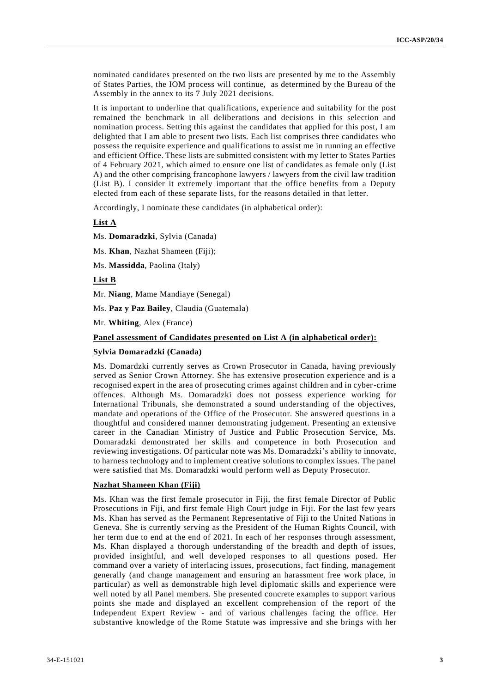nominated candidates presented on the two lists are presented by me to the Assembly of States Parties, the IOM process will continue, as determined by the Bureau of the Assembly in the annex to its 7 July 2021 decisions.

It is important to underline that qualifications, experience and suitability for the post remained the benchmark in all deliberations and decisions in this selection and nomination process. Setting this against the candidates that applied for this post, I am delighted that I am able to present two lists. Each list comprises three candidates who possess the requisite experience and qualifications to assist me in running an effective and efficient Office. These lists are submitted consistent with my letter to States Parties of 4 February 2021, which aimed to ensure one list of candidates as female only (List A) and the other comprising francophone lawyers / lawyers from the civil law tradition (List B). I consider it extremely important that the office benefits from a Deputy elected from each of these separate lists, for the reasons detailed in that letter.

Accordingly, I nominate these candidates (in alphabetical order):

#### **List A**

Ms. **Domaradzki**, Sylvia (Canada)

Ms. **Khan**, Nazhat Shameen (Fiji);

Ms. **Massidda**, Paolina (Italy)

**List B**

Mr. **Niang**, Mame Mandiaye (Senegal)

Ms. **Paz y Paz Bailey**, Claudia (Guatemala)

Mr. **Whiting**, Alex (France)

# **Panel assessment of Candidates presented on List A (in alphabetical order):**

#### **Sylvia Domaradzki (Canada)**

Ms. Domardzki currently serves as Crown Prosecutor in Canada, having previously served as Senior Crown Attorney. She has extensive prosecution experience and is a recognised expert in the area of prosecuting crimes against children and in cyber-crime offences. Although Ms. Domaradzki does not possess experience working for International Tribunals, she demonstrated a sound understanding of the objectives, mandate and operations of the Office of the Prosecutor. She answered questions in a thoughtful and considered manner demonstrating judgement. Presenting an extensive career in the Canadian Ministry of Justice and Public Prosecution Service, Ms. Domaradzki demonstrated her skills and competence in both Prosecution and reviewing investigations. Of particular note was Ms. Domaradzki's ability to innovate, to harness technology and to implement creative solutions to complex issues. The panel were satisfied that Ms. Domaradzki would perform well as Deputy Prosecutor.

#### **Nazhat Shameen Khan (Fiji)**

Ms. Khan was the first female prosecutor in Fiji, the first female Director of Public Prosecutions in Fiji, and first female High Court judge in Fiji. For the last few years Ms. Khan has served as the Permanent Representative of Fiji to the United Nations in Geneva. She is currently serving as the President of the Human Rights Council, with her term due to end at the end of 2021. In each of her responses through assessment, Ms. Khan displayed a thorough understanding of the breadth and depth of issues, provided insightful, and well developed responses to all questions posed. Her command over a variety of interlacing issues, prosecutions, fact finding, management generally (and change management and ensuring an harassment free work place, in particular) as well as demonstrable high level diplomatic skills and experience were well noted by all Panel members. She presented concrete examples to support various points she made and displayed an excellent comprehension of the report of the Independent Expert Review - and of various challenges facing the office. Her substantive knowledge of the Rome Statute was impressive and she brings with her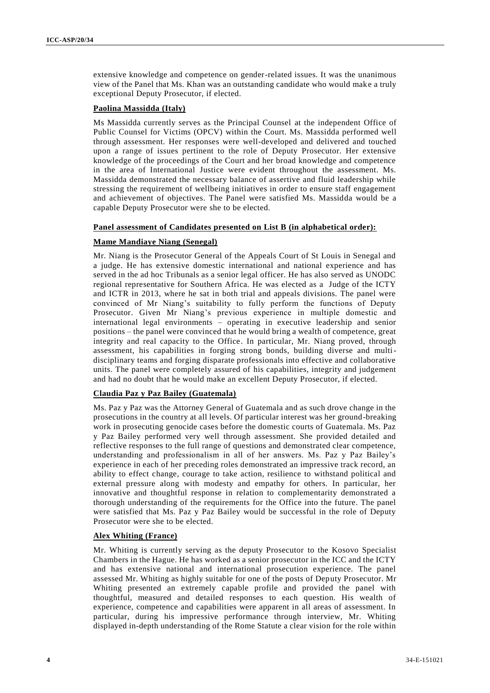extensive knowledge and competence on gender-related issues. It was the unanimous view of the Panel that Ms. Khan was an outstanding candidate who would make a truly exceptional Deputy Prosecutor, if elected.

# **Paolina Massidda (Italy)**

Ms Massidda currently serves as the Principal Counsel at the independent Office of Public Counsel for Victims (OPCV) within the Court. Ms. Massidda performed well through assessment. Her responses were well-developed and delivered and touched upon a range of issues pertinent to the role of Deputy Prosecutor. Her extensive knowledge of the proceedings of the Court and her broad knowledge and competence in the area of International Justice were evident throughout the assessment. Ms. Massidda demonstrated the necessary balance of assertive and fluid leadership while stressing the requirement of wellbeing initiatives in order to ensure staff engagement and achievement of objectives. The Panel were satisfied Ms. Massidda would be a capable Deputy Prosecutor were she to be elected.

# **Panel assessment of Candidates presented on List B (in alphabetical order):**

# **Mame Mandiaye Niang (Senegal)**

Mr. Niang is the Prosecutor General of the Appeals Court of St Louis in Senegal and a judge. He has extensive domestic international and national experience and has served in the ad hoc Tribunals as a senior legal officer. He has also served as UNODC regional representative for Southern Africa. He was elected as a Judge of the ICTY and ICTR in 2013, where he sat in both trial and appeals divisions. The panel were convinced of Mr Niang's suitability to fully perform the functions of Deputy Prosecutor. Given Mr Niang's previous experience in multiple domestic and international legal environments – operating in executive leadership and senior positions – the panel were convinced that he would bring a wealth of competence, great integrity and real capacity to the Office. In particular, Mr. Niang proved, through assessment, his capabilities in forging strong bonds, building diverse and multidisciplinary teams and forging disparate professionals into effective and collaborative units. The panel were completely assured of his capabilities, integrity and judgement and had no doubt that he would make an excellent Deputy Prosecutor, if elected.

# **Claudia Paz y Paz Bailey (Guatemala)**

Ms. Paz y Paz was the Attorney General of Guatemala and as such drove change in the prosecutions in the country at all levels. Of particular interest was her ground-breaking work in prosecuting genocide cases before the domestic courts of Guatemala. Ms. Paz y Paz Bailey performed very well through assessment. She provided detailed and reflective responses to the full range of questions and demonstrated clear competence, understanding and professionalism in all of her answers. Ms. Paz y Paz Bailey's experience in each of her preceding roles demonstrated an impressive track record, an ability to effect change, courage to take action, resilience to withstand political and external pressure along with modesty and empathy for others. In particular, her innovative and thoughtful response in relation to complementarity demonstrated a thorough understanding of the requirements for the Office into the future. The panel were satisfied that Ms. Paz y Paz Bailey would be successful in the role of Deputy Prosecutor were she to be elected.

# **Alex Whiting (France)**

Mr. Whiting is currently serving as the deputy Prosecutor to the Kosovo Specialist Chambers in the Hague. He has worked as a senior prosecutor in the ICC and the ICTY and has extensive national and international prosecution experience. The panel assessed Mr. Whiting as highly suitable for one of the posts of Deputy Prosecutor. Mr Whiting presented an extremely capable profile and provided the panel with thoughtful, measured and detailed responses to each question. His wealth of experience, competence and capabilities were apparent in all areas of assessment. In particular, during his impressive performance through interview, Mr. Whiting displayed in-depth understanding of the Rome Statute a clear vision for the role within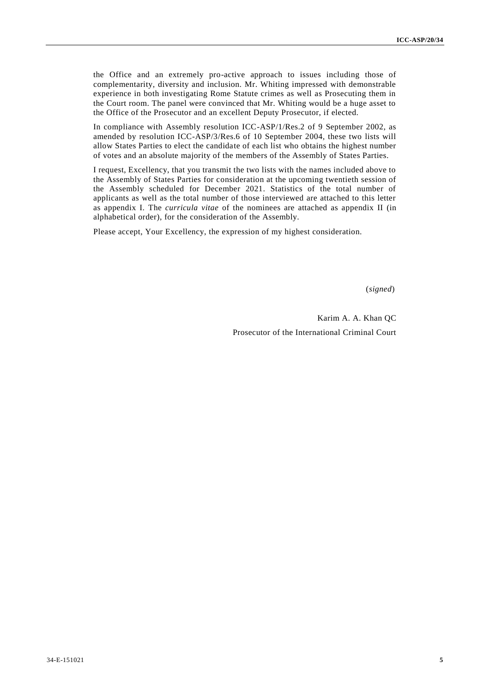the Office and an extremely pro-active approach to issues including those of complementarity, diversity and inclusion. Mr. Whiting impressed with demonstrable experience in both investigating Rome Statute crimes as well as Prosecuting them in the Court room. The panel were convinced that Mr. Whiting would be a huge asset to the Office of the Prosecutor and an excellent Deputy Prosecutor, if elected.

In compliance with Assembly resolution ICC-ASP/1/Res.2 of 9 September 2002, as amended by resolution ICC-ASP/3/Res.6 of 10 September 2004, these two lists will allow States Parties to elect the candidate of each list who obtains the highest number of votes and an absolute majority of the members of the Assembly of States Parties.

I request, Excellency, that you transmit the two lists with the names included above to the Assembly of States Parties for consideration at the upcoming twentieth session of the Assembly scheduled for December 2021. Statistics of the total number of applicants as well as the total number of those interviewed are attached to this letter as appendix I. The *curricula vitae* of the nominees are attached as appendix II (in alphabetical order), for the consideration of the Assembly.

Please accept, Your Excellency, the expression of my highest consideration.

(*signed*)

Karim A. A. Khan QC Prosecutor of the International Criminal Court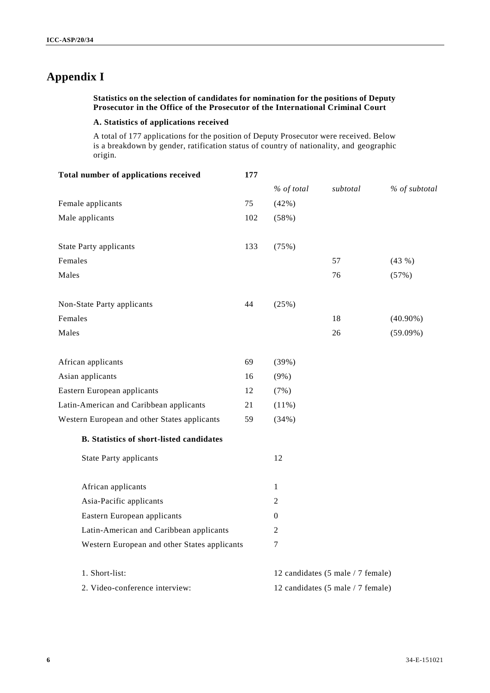# **Appendix I**

# **Statistics on the selection of candidates for nomination for the positions of Deputy Prosecutor in the Office of the Prosecutor of the International Criminal Court**

# **A. Statistics of applications received**

A total of 177 applications for the position of Deputy Prosecutor were received. Below is a breakdown by gender, ratification status of country of nationality, and geographic origin.

| Total number of applications received           | 177 |                                   |                                   |               |
|-------------------------------------------------|-----|-----------------------------------|-----------------------------------|---------------|
|                                                 |     | % of total                        | subtotal                          | % of subtotal |
| Female applicants                               | 75  | (42%)                             |                                   |               |
| Male applicants                                 | 102 | (58%)                             |                                   |               |
| <b>State Party applicants</b>                   | 133 | (75%)                             |                                   |               |
| Females                                         |     |                                   | 57                                | (43%)         |
| Males                                           |     |                                   | 76                                | (57%)         |
| Non-State Party applicants                      | 44  | (25%)                             |                                   |               |
| Females                                         |     |                                   | 18                                | $(40.90\%)$   |
| Males                                           |     |                                   | 26                                | $(59.09\%)$   |
| African applicants                              | 69  | (39%)                             |                                   |               |
| Asian applicants                                | 16  | $(9\%)$                           |                                   |               |
| Eastern European applicants                     | 12  | (7%)                              |                                   |               |
| Latin-American and Caribbean applicants         | 21  | (11%)                             |                                   |               |
| Western European and other States applicants    | 59  | (34%)                             |                                   |               |
| <b>B.</b> Statistics of short-listed candidates |     |                                   |                                   |               |
| <b>State Party applicants</b>                   |     | 12                                |                                   |               |
| African applicants                              |     | 1                                 |                                   |               |
| Asia-Pacific applicants                         |     | 2                                 |                                   |               |
| Eastern European applicants                     |     | $\Omega$                          |                                   |               |
| Latin-American and Caribbean applicants         |     | 2                                 |                                   |               |
| Western European and other States applicants    |     | 7                                 |                                   |               |
| 1. Short-list:                                  |     |                                   | 12 candidates (5 male / 7 female) |               |
| 2. Video-conference interview:                  |     | 12 candidates (5 male / 7 female) |                                   |               |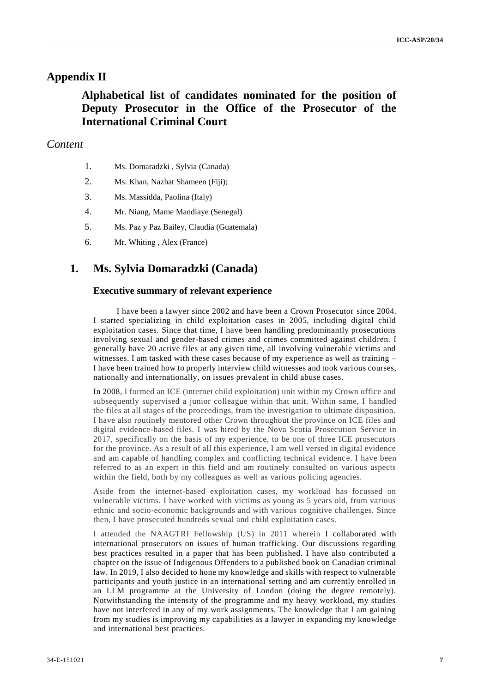# **Appendix II**

# **Alphabetical list of candidates nominated for the position of Deputy Prosecutor in the Office of the Prosecutor of the International Criminal Court**

# *Content*

- 1. Ms. Domaradzki , Sylvia (Canada)
- 2. Ms. Khan, Nazhat Shameen (Fiji);
- 3. Ms. Massidda, Paolina (Italy)
- 4. Mr. Niang, Mame Mandiaye (Senegal)
- 5. Ms. Paz y Paz Bailey, Claudia (Guatemala)
- 6. Mr. Whiting , Alex (France)

# **1. Ms. Sylvia Domaradzki (Canada)**

# **Executive summary of relevant experience**

I have been a lawyer since 2002 and have been a Crown Prosecutor since 2004. I started specializing in child exploitation cases in 2005, including digital child exploitation cases. Since that time, I have been handling predominantly prosecutions involving sexual and gender-based crimes and crimes committed against children. I generally have 20 active files at any given time, all involving vulnerable victims and witnesses. I am tasked with these cases because of my experience as well as training – I have been trained how to properly interview child witnesses and took various courses, nationally and internationally, on issues prevalent in child abuse cases.

In 2008, I formed an ICE (internet child exploitation) unit within my Crown office and subsequently supervised a junior colleague within that unit. Within same, I handled the files at all stages of the proceedings, from the investigation to ultimate disposition. I have also routinely mentored other Crown throughout the province on ICE files and digital evidence-based files. I was hired by the Nova Scotia Prosecution Service in 2017, specifically on the basis of my experience, to be one of three ICE prosecutors for the province. As a result of all this experience, I am well versed in digital evidence and am capable of handling complex and conflicting technical evidenc e. I have been referred to as an expert in this field and am routinely consulted on various aspects within the field, both by my colleagues as well as various policing agencies.

Aside from the internet-based exploitation cases, my workload has focussed on vulnerable victims. I have worked with victims as young as 5 years old, from various ethnic and socio-economic backgrounds and with various cognitive challenges. Since then, I have prosecuted hundreds sexual and child exploitation cases.

I attended the NAAGTRI Fellowship (US) in 2011 wherein I collaborated with international prosecutors on issues of human trafficking. Our discussions regarding best practices resulted in a paper that has been published. I have also contributed a chapter on the issue of Indigenous Offenders to a published book on Canadian criminal law. In 2019, I also decided to hone my knowledge and skills with respect to vulnerable participants and youth justice in an international setting and am currently enrolled in an LLM programme at the University of London (doing the degree remotely). Notwithstanding the intensity of the programme and my heavy workload, my studies have not interfered in any of my work assignments. The knowledge that I am gaining from my studies is improving my capabilities as a lawyer in expanding my knowledge and international best practices.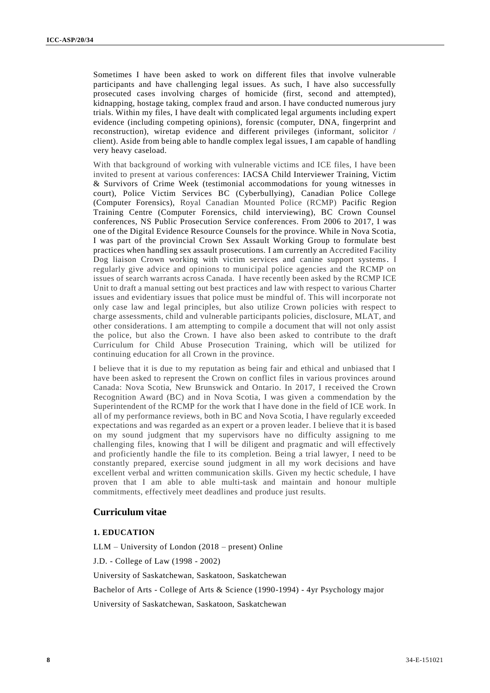Sometimes I have been asked to work on different files that involve vulnerable participants and have challenging legal issues. As such, I have also successfully prosecuted cases involving charges of homicide (first, second and attempted), kidnapping, hostage taking, complex fraud and arson. I have conducted numerous jury trials. Within my files, I have dealt with complicated legal arguments including expert evidence (including competing opinions), forensic (computer, DNA, fingerprint and reconstruction), wiretap evidence and different privileges (informant, solicitor / client). Aside from being able to handle complex legal issues, I am capable of handling very heavy caseload.

With that background of working with vulnerable victims and ICE files, I have been invited to present at various conferences: IACSA Child Interviewer Training, Victim & Survivors of Crime Week (testimonial accommodations for young witnesses in court), Police Victim Services BC (Cyberbullying), Canadian Police College (Computer Forensics), Royal Canadian Mounted Police (RCMP) Pacific Region Training Centre (Computer Forensics, child interviewing), BC Crown Counsel conferences, NS Public Prosecution Service conferences. From 2006 to 2017, I was one of the Digital Evidence Resource Counsels for the province. While in Nova Scotia, I was part of the provincial Crown Sex Assault Working Group to formulate best practices when handling sex assault prosecutions. I am currently an Accredited Facility Dog liaison Crown working with victim services and canine support systems. I regularly give advice and opinions to municipal police agencies and the RCMP on issues of search warrants across Canada. I have recently been asked by the RCMP ICE Unit to draft a manual setting out best practices and law with respect to various Charter issues and evidentiary issues that police must be mindful of. This will incorporate not only case law and legal principles, but also utilize Crown policies with respect to charge assessments, child and vulnerable participants policies, disclosure, MLAT, and other considerations. I am attempting to compile a document that will not only assist the police, but also the Crown. I have also been asked to contribute to the draft Curriculum for Child Abuse Prosecution Training, which will be utilized for continuing education for all Crown in the province.

I believe that it is due to my reputation as being fair and ethical and unbiased that I have been asked to represent the Crown on conflict files in various provinces around Canada: Nova Scotia, New Brunswick and Ontario. In 2017, I received the Crown Recognition Award (BC) and in Nova Scotia, I was given a commendation by the Superintendent of the RCMP for the work that I have done in the field of ICE work. In all of my performance reviews, both in BC and Nova Scotia, I have regularly exceeded expectations and was regarded as an expert or a proven leader. I believe that it is based on my sound judgment that my supervisors have no difficulty assigning to me challenging files, knowing that I will be diligent and pragmatic and will effectively and proficiently handle the file to its completion. Being a trial lawyer, I need to be constantly prepared, exercise sound judgment in all my work decisions and have excellent verbal and written communication skills. Given my hectic schedule, I have proven that I am able to able multi-task and maintain and honour multiple commitments, effectively meet deadlines and produce just results.

# **Curriculum vitae**

#### **1. EDUCATION**

LLM – University of London (2018 – present) Online

J.D. - College of Law (1998 - 2002)

University of Saskatchewan, Saskatoon, Saskatchewan

Bachelor of Arts - College of Arts & Science (1990-1994) - 4yr Psychology major

University of Saskatchewan, Saskatoon, Saskatchewan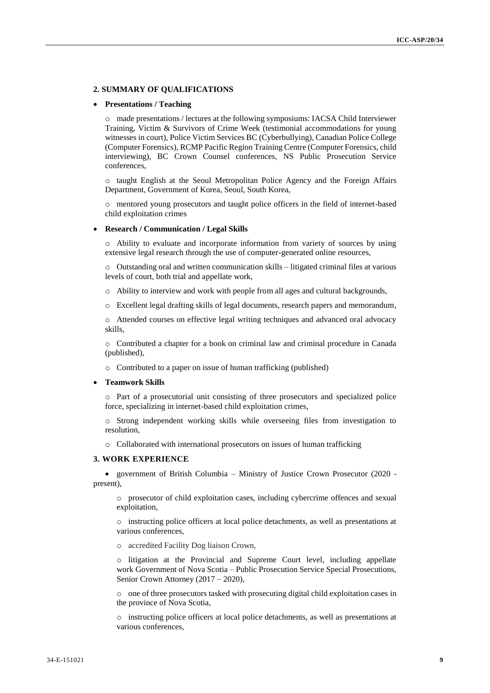#### **2. SUMMARY OF QUALIFICATIONS**

#### **Presentations / Teaching**

o made presentations / lectures at the following symposiums: IACSA Child Interviewer Training, Victim & Survivors of Crime Week (testimonial accommodations for young witnesses in court), Police Victim Services BC (Cyberbullying), Canadian Police College (Computer Forensics), RCMP Pacific Region Training Centre (Computer Forensics, child interviewing), BC Crown Counsel conferences, NS Public Prosecution Service conferences,

o taught English at the Seoul Metropolitan Police Agency and the Foreign Affairs Department, Government of Korea, Seoul, South Korea,

o mentored young prosecutors and taught police officers in the field of internet-based child exploitation crimes

#### **Research / Communication / Legal Skills**

o Ability to evaluate and incorporate information from variety of sources by using extensive legal research through the use of computer-generated online resources,

o Outstanding oral and written communication skills – litigated criminal files at various levels of court, both trial and appellate work,

- o Ability to interview and work with people from all ages and cultural backgrounds,
- o Excellent legal drafting skills of legal documents, research papers and memorandum,

o Attended courses on effective legal writing techniques and advanced oral advocacy skills,

o Contributed a chapter for a book on criminal law and criminal procedure in Canada (published),

o Contributed to a paper on issue of human trafficking (published)

#### **Teamwork Skills**

o Part of a prosecutorial unit consisting of three prosecutors and specialized police force, specializing in internet-based child exploitation crimes,

o Strong independent working skills while overseeing files from investigation to resolution,

o Collaborated with international prosecutors on issues of human trafficking

#### **3. WORK EXPERIENCE**

 government of British Columbia – Ministry of Justice Crown Prosecutor (2020 present),

o prosecutor of child exploitation cases, including cybercrime offences and sexual exploitation,

o instructing police officers at local police detachments, as well as presentations at various conferences,

o accredited Facility Dog liaison Crown,

o litigation at the Provincial and Supreme Court level, including appellate work Government of Nova Scotia – Public Prosecution Service Special Prosecutions, Senior Crown Attorney (2017 – 2020),

o one of three prosecutors tasked with prosecuting digital child exploitation cases in the province of Nova Scotia,

o instructing police officers at local police detachments, as well as presentations at various conferences,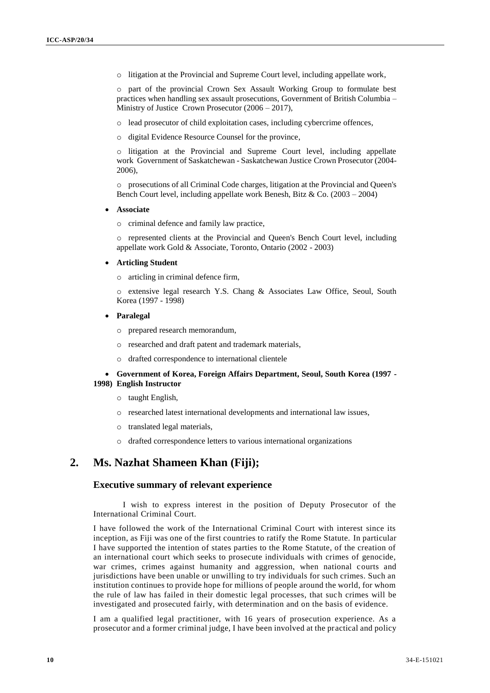o litigation at the Provincial and Supreme Court level, including appellate work,

o part of the provincial Crown Sex Assault Working Group to formulate best practices when handling sex assault prosecutions, Government of British Columbia – Ministry of Justice Crown Prosecutor (2006 – 2017),

- o lead prosecutor of child exploitation cases, including cybercrime offences,
- o digital Evidence Resource Counsel for the province,

o litigation at the Provincial and Supreme Court level, including appellate work Government of Saskatchewan - Saskatchewan Justice Crown Prosecutor (2004-  $2006$ 

o prosecutions of all Criminal Code charges, litigation at the Provincial and Queen's Bench Court level, including appellate work Benesh, Bitz  $\&$  Co. (2003 – 2004)

**Associate**

o criminal defence and family law practice,

o represented clients at the Provincial and Queen's Bench Court level, including appellate work Gold & Associate, Toronto, Ontario (2002 - 2003)

#### **Articling Student**

o articling in criminal defence firm,

o extensive legal research Y.S. Chang & Associates Law Office, Seoul, South Korea (1997 - 1998)

**Paralegal**

o prepared research memorandum,

- o researched and draft patent and trademark materials,
- o drafted correspondence to international clientele

### **Government of Korea, Foreign Affairs Department, Seoul, South Korea (1997 - 1998) English Instructor**

- o taught English,
- o researched latest international developments and international law issues,
- o translated legal materials,
- o drafted correspondence letters to various international organizations

# **2. Ms. Nazhat Shameen Khan (Fiji);**

# **Executive summary of relevant experience**

I wish to express interest in the position of Deputy Prosecutor of the International Criminal Court.

I have followed the work of the International Criminal Court with interest since its inception, as Fiji was one of the first countries to ratify the Rome Statute. In particular I have supported the intention of states parties to the Rome Statute, of the creation of an international court which seeks to prosecute individuals with crimes of genocide, war crimes, crimes against humanity and aggression, when national courts and jurisdictions have been unable or unwilling to try individuals for such crimes. Such an institution continues to provide hope for millions of people around the world, for whom the rule of law has failed in their domestic legal processes, that such crimes will be investigated and prosecuted fairly, with determination and on the basis of evidence.

I am a qualified legal practitioner, with 16 years of prosecution experience. As a prosecutor and a former criminal judge, I have been involved at the practical and policy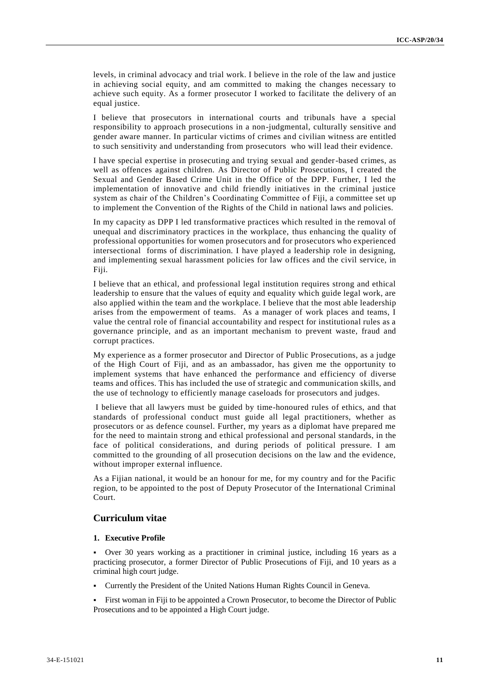levels, in criminal advocacy and trial work. I believe in the role of the law and justice in achieving social equity, and am committed to making the changes necessary to achieve such equity. As a former prosecutor I worked to facilitate the delivery of an equal justice.

I believe that prosecutors in international courts and tribunals have a special responsibility to approach prosecutions in a non-judgmental, culturally sensitive and gender aware manner. In particular victims of crimes and civilian witness are entitled to such sensitivity and understanding from prosecutors who will lead their evidence.

I have special expertise in prosecuting and trying sexual and gender-based crimes, as well as offences against children. As Director of Public Prosecutions, I created the Sexual and Gender Based Crime Unit in the Office of the DPP. Further, I led the implementation of innovative and child friendly initiatives in the criminal justice system as chair of the Children's Coordinating Committee of Fiji, a committee set up to implement the Convention of the Rights of the Child in national laws and policies.

In my capacity as DPP I led transformative practices which resulted in the removal of unequal and discriminatory practices in the workplace, thus enhancing the quality of professional opportunities for women prosecutors and for prosecutors who experienced intersectional forms of discrimination. I have played a leadership role in designing, and implementing sexual harassment policies for law offices and the civil service, in Fiji.

I believe that an ethical, and professional legal institution requires strong and ethical leadership to ensure that the values of equity and equality which guide legal work, are also applied within the team and the workplace. I believe that the most able leadership arises from the empowerment of teams. As a manager of work places and teams, I value the central role of financial accountability and respect for institutional rules as a governance principle, and as an important mechanism to prevent waste, fraud and corrupt practices.

My experience as a former prosecutor and Director of Public Prosecutions, as a judge of the High Court of Fiji, and as an ambassador, has given me the opportunity to implement systems that have enhanced the performance and efficiency of diverse teams and offices. This has included the use of strategic and communication skills, and the use of technology to efficiently manage caseloads for prosecutors and judges.

I believe that all lawyers must be guided by time-honoured rules of ethics, and that standards of professional conduct must guide all legal practitioners, whether as prosecutors or as defence counsel. Further, my years as a diplomat have prepared me for the need to maintain strong and ethical professional and personal standards, in the face of political considerations, and during periods of political pressure. I am committed to the grounding of all prosecution decisions on the law and the evidence, without improper external influence.

As a Fijian national, it would be an honour for me, for my country and for the Pacific region, to be appointed to the post of Deputy Prosecutor of the International Criminal Court.

# **Curriculum vitae**

### **1. Executive Profile**

 Over 30 years working as a practitioner in criminal justice, including 16 years as a practicing prosecutor, a former Director of Public Prosecutions of Fiji, and 10 years as a criminal high court judge.

- Currently the President of the United Nations Human Rights Council in Geneva.
- First woman in Fiji to be appointed a Crown Prosecutor, to become the Director of Public Prosecutions and to be appointed a High Court judge.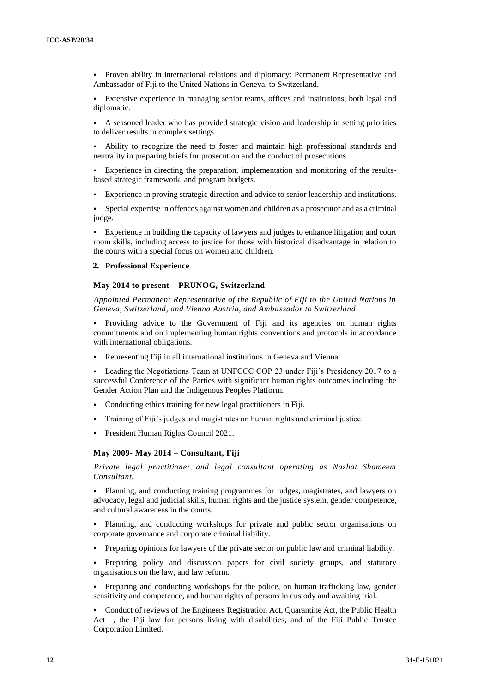Proven ability in international relations and diplomacy: Permanent Representative and Ambassador of Fiji to the United Nations in Geneva, to Switzerland.

 Extensive experience in managing senior teams, offices and institutions, both legal and diplomatic.

 A seasoned leader who has provided strategic vision and leadership in setting priorities to deliver results in complex settings.

 Ability to recognize the need to foster and maintain high professional standards and neutrality in preparing briefs for prosecution and the conduct of prosecutions.

 Experience in directing the preparation, implementation and monitoring of the resultsbased strategic framework, and program budgets.

Experience in proving strategic direction and advice to senior leadership and institutions.

 Special expertise in offences against women and children as a prosecutor and as a criminal judge.

 Experience in building the capacity of lawyers and judges to enhance litigation and court room skills, including access to justice for those with historical disadvantage in relation to the courts with a special focus on women and children.

# **2. Professional Experience**

#### **May 2014 to present – PRUNOG, Switzerland**

*Appointed Permanent Representative of the Republic of Fiji to the United Nations in Geneva, Switzerland, and Vienna Austria, and Ambassador to Switzerland*

 Providing advice to the Government of Fiji and its agencies on human rights commitments and on implementing human rights conventions and protocols in accordance with international obligations.

Representing Fiji in all international institutions in Geneva and Vienna.

 Leading the Negotiations Team at UNFCCC COP 23 under Fiji's Presidency 2017 to a successful Conference of the Parties with significant human rights outcomes including the Gender Action Plan and the Indigenous Peoples Platform.

- Conducting ethics training for new legal practitioners in Fiji.
- Training of Fiji's judges and magistrates on human rights and criminal justice.
- President Human Rights Council 2021.

#### **May 2009- May 2014 – Consultant, Fiji**

*Private legal practitioner and legal consultant operating as Nazhat Shameem Consultant.*

 Planning, and conducting training programmes for judges, magistrates, and lawyers on advocacy, legal and judicial skills, human rights and the justice system, gender competence, and cultural awareness in the courts.

 Planning, and conducting workshops for private and public sector organisations on corporate governance and corporate criminal liability.

Preparing opinions for lawyers of the private sector on public law and criminal liability.

 Preparing policy and discussion papers for civil society groups, and statutory organisations on the law, and law reform.

 Preparing and conducting workshops for the police, on human trafficking law, gender sensitivity and competence, and human rights of persons in custody and awaiting trial.

 Conduct of reviews of the Engineers Registration Act, Quarantine Act, the Public Health Act , the Fiji law for persons living with disabilities, and of the Fiji Public Trustee Corporation Limited.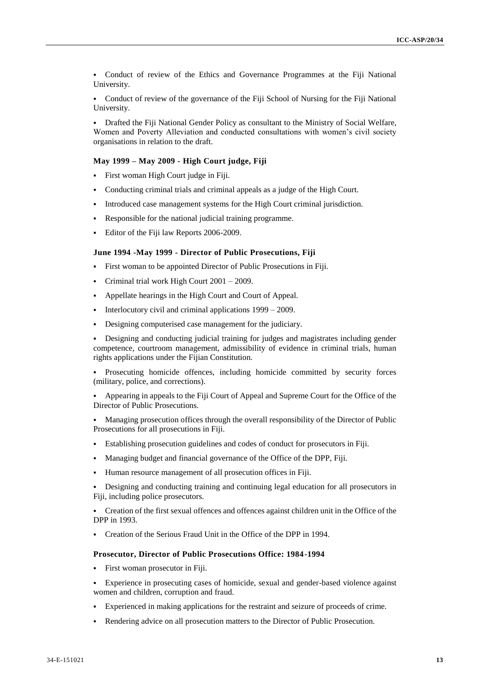Conduct of review of the Ethics and Governance Programmes at the Fiji National University.

 Conduct of review of the governance of the Fiji School of Nursing for the Fiji National University.

 Drafted the Fiji National Gender Policy as consultant to the Ministry of Social Welfare, Women and Poverty Alleviation and conducted consultations with women's civil society organisations in relation to the draft.

#### **May 1999 – May 2009 - High Court judge, Fiji**

- First woman High Court judge in Fiji.
- Conducting criminal trials and criminal appeals as a judge of the High Court.
- Introduced case management systems for the High Court criminal jurisdiction.
- Responsible for the national judicial training programme.
- Editor of the Fiji law Reports 2006-2009.

#### **June 1994 -May 1999 - Director of Public Prosecutions, Fiji**

- First woman to be appointed Director of Public Prosecutions in Fiji.
- Criminal trial work High Court 2001 2009.
- Appellate hearings in the High Court and Court of Appeal.
- Interlocutory civil and criminal applications  $1999 2009$ .
- Designing computerised case management for the judiciary.

 Designing and conducting judicial training for judges and magistrates including gender competence, courtroom management, admissibility of evidence in criminal trials, human rights applications under the Fijian Constitution.

 Prosecuting homicide offences, including homicide committed by security forces (military, police, and corrections).

 Appearing in appeals to the Fiji Court of Appeal and Supreme Court for the Office of the Director of Public Prosecutions.

 Managing prosecution offices through the overall responsibility of the Director of Public Prosecutions for all prosecutions in Fiji.

- Establishing prosecution guidelines and codes of conduct for prosecutors in Fiji.
- Managing budget and financial governance of the Office of the DPP, Fiji.
- Human resource management of all prosecution offices in Fiji.

 Designing and conducting training and continuing legal education for all prosecutors in Fiji, including police prosecutors.

 Creation of the first sexual offences and offences against children unit in the Office of the DPP in 1993.

Creation of the Serious Fraud Unit in the Office of the DPP in 1994.

#### **Prosecutor, Director of Public Prosecutions Office: 1984-1994**

- First woman prosecutor in Fiji.
- Experience in prosecuting cases of homicide, sexual and gender-based violence against women and children, corruption and fraud.
- Experienced in making applications for the restraint and seizure of proceeds of crime.
- Rendering advice on all prosecution matters to the Director of Public Prosecution.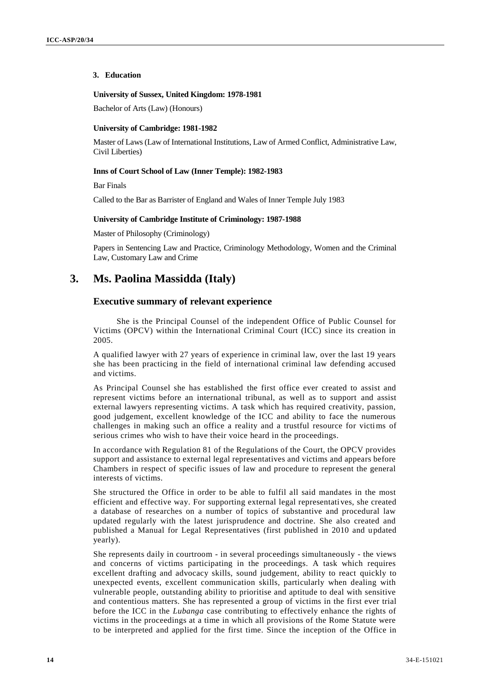#### **3. Education**

#### **University of Sussex, United Kingdom: 1978-1981**

Bachelor of Arts (Law) (Honours)

#### **University of Cambridge: 1981-1982**

Master of Laws (Law of International Institutions, Law of Armed Conflict, Administrative Law, Civil Liberties)

#### **Inns of Court School of Law (Inner Temple): 1982-1983**

Bar Finals

Called to the Bar as Barrister of England and Wales of Inner Temple July 1983

#### **University of Cambridge Institute of Criminology: 1987-1988**

Master of Philosophy (Criminology)

Papers in Sentencing Law and Practice, Criminology Methodology, Women and the Criminal Law, Customary Law and Crime

# **3. Ms. Paolina Massidda (Italy)**

# **Executive summary of relevant experience**

She is the Principal Counsel of the independent Office of Public Counsel for Victims (OPCV) within the International Criminal Court (ICC) since its creation in 2005.

A qualified lawyer with 27 years of experience in criminal law, over the last 19 years she has been practicing in the field of international criminal law defending accused and victims.

As Principal Counsel she has established the first office ever created to assist and represent victims before an international tribunal, as well as to support and assist external lawyers representing victims. A task which has required creativity, passion, good judgement, excellent knowledge of the ICC and ability to face the numerous challenges in making such an office a reality and a trustful resource for victims of serious crimes who wish to have their voice heard in the proceedings.

In accordance with Regulation 81 of the Regulations of the Court, the OPCV provides support and assistance to external legal representatives and victims and appears before Chambers in respect of specific issues of law and procedure to represent the general interests of victims.

She structured the Office in order to be able to fulfil all said mandates in the most efficient and effective way. For supporting external legal representatives, she created a database of researches on a number of topics of substantive and procedural law updated regularly with the latest jurisprudence and doctrine. She also created and published a Manual for Legal Representatives (first published in 2010 and updated yearly).

She represents daily in courtroom - in several proceedings simultaneously - the views and concerns of victims participating in the proceedings. A task which requires excellent drafting and advocacy skills, sound judgement, ability to react quickly to unexpected events, excellent communication skills, particularly when dealing with vulnerable people, outstanding ability to prioritise and aptitude to deal with sensitive and contentious matters. She has represented a group of victims in the first ever trial before the ICC in the *Lubanga* case contributing to effectively enhance the rights of victims in the proceedings at a time in which all provisions of the Rome Statute were to be interpreted and applied for the first time. Since the inception of the Office in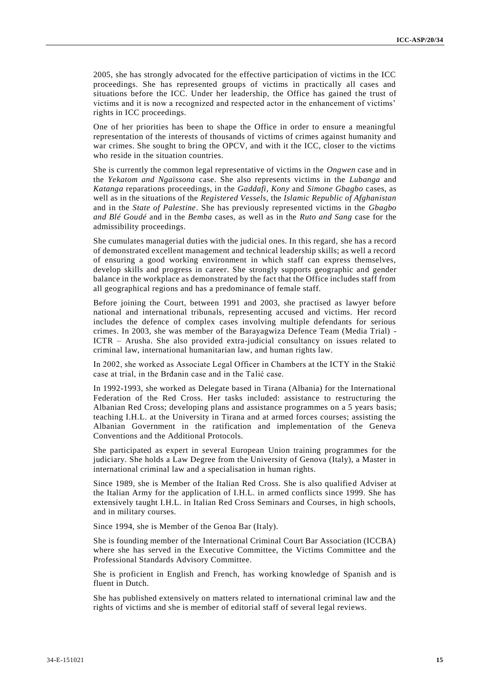2005, she has strongly advocated for the effective participation of victims in the ICC proceedings. She has represented groups of victims in practically all cases and situations before the ICC. Under her leadership, the Office has gained the trust of victims and it is now a recognized and respected actor in the enhancement of victims' rights in ICC proceedings.

One of her priorities has been to shape the Office in order to ensure a meaningful representation of the interests of thousands of victims of crimes against humanity and war crimes. She sought to bring the OPCV, and with it the ICC, closer to the victims who reside in the situation countries.

She is currently the common legal representative of victims in the *Ongwen* case and in the *Yekatom and Ngaïssona* case. She also represents victims in the *Lubanga* and *Katanga* reparations proceedings, in the *Gaddafi*, *Kony* and *Simone Gbagbo* cases, as well as in the situations of the *Registered Vessels*, the *Islamic Republic of Afghanistan*  and in the *State of Palestine*. She has previously represented victims in the *Gbagbo and Blé Goudé* and in the *Bemba* cases, as well as in the *Ruto and Sang* case for the admissibility proceedings.

She cumulates managerial duties with the judicial ones. In this regard, she has a record of demonstrated excellent management and technical leadership skills; as well a record of ensuring a good working environment in which staff can express themselves, develop skills and progress in career. She strongly supports geographic and gender balance in the workplace as demonstrated by the fact that the Office includes staff from all geographical regions and has a predominance of female staff.

Before joining the Court, between 1991 and 2003, she practised as lawyer before national and international tribunals, representing accused and victims. Her record includes the defence of complex cases involving multiple defendants for serious crimes. In 2003, she was member of the Barayagwiza Defence Team (Media Trial) - ICTR – Arusha. She also provided extra-judicial consultancy on issues related to criminal law, international humanitarian law, and human rights law.

In 2002, she worked as Associate Legal Officer in Chambers at the ICTY in the Stakić case at trial, in the Brđanin case and in the Talić case.

In 1992-1993, she worked as Delegate based in Tirana (Albania) for the International Federation of the Red Cross. Her tasks included: assistance to restructuring the Albanian Red Cross; developing plans and assistance programmes on a 5 years basis; teaching I.H.L. at the University in Tirana and at armed forces courses; assisting the Albanian Government in the ratification and implementation of the Geneva Conventions and the Additional Protocols.

She participated as expert in several European Union training programmes for the judiciary. She holds a Law Degree from the University of Genova (Italy), a Master in international criminal law and a specialisation in human rights.

Since 1989, she is Member of the Italian Red Cross. She is also qualified Adviser at the Italian Army for the application of I.H.L. in armed conflicts since 1999. She has extensively taught I.H.L. in Italian Red Cross Seminars and Courses, in high schools, and in military courses.

Since 1994, she is Member of the Genoa Bar (Italy).

She is founding member of the International Criminal Court Bar Association (ICCBA) where she has served in the Executive Committee, the Victims Committee and the Professional Standards Advisory Committee.

She is proficient in English and French, has working knowledge of Spanish and is fluent in Dutch.

She has published extensively on matters related to international criminal law and the rights of victims and she is member of editorial staff of several legal reviews.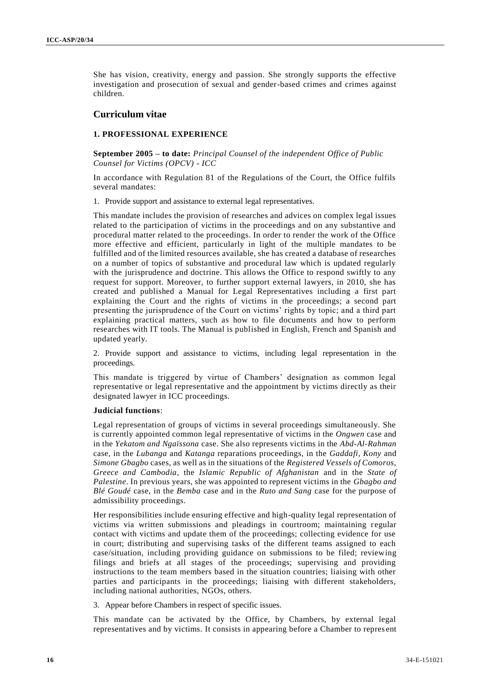She has vision, creativity, energy and passion. She strongly supports the effective investigation and prosecution of sexual and gender-based crimes and crimes against children.

# **Curriculum vitae**

# **1. PROFESSIONAL EXPERIENCE**

**September 2005 – to date:** *Principal Counsel of the independent Office of Public Counsel for Victims (OPCV) - ICC*

In accordance with Regulation 81 of the Regulations of the Court, the Office fulfils several mandates:

1. Provide support and assistance to external legal representatives.

This mandate includes the provision of researches and advices on complex legal issues related to the participation of victims in the proceedings and on any substantive and procedural matter related to the proceedings. In order to render the work of the Office more effective and efficient, particularly in light of the multiple mandates to be fulfilled and of the limited resources available, she has created a database of researches on a number of topics of substantive and procedural law which is updated regularly with the jurisprudence and doctrine. This allows the Office to respond swiftly to any request for support. Moreover, to further support external lawyers, in 2010, she has created and published a Manual for Legal Representatives including a first part explaining the Court and the rights of victims in the proceedings; a second part presenting the jurisprudence of the Court on victims' rights by topic; and a third part explaining practical matters, such as how to file documents and how to perform researches with IT tools. The Manual is published in English, French and Spanish and updated yearly.

2. Provide support and assistance to victims, including legal representation in the proceedings.

This mandate is triggered by virtue of Chambers' designation as common legal representative or legal representative and the appointment by victims directly as their designated lawyer in ICC proceedings.

#### **Judicial functions**:

Legal representation of groups of victims in several proceedings simultaneously. She is currently appointed common legal representative of victims in the *Ongwen* case and in the *Yekatom and Ngaïssona* case. She also represents victims in the *Abd-Al-Rahman* case, in the *Lubanga* and *Katanga* reparations proceedings, in the *Gaddafi*, *Kony* and *Simone Gbagbo* cases, as well as in the situations of the *Registered Vessels of Comoros, Greece and Cambodia*, the *Islamic Republic of Afghanistan* and in the *State of Palestine*. In previous years, she was appointed to represent victims in the *Gbagbo and Blé Goudé* case, in the *Bemba* case and in the *Ruto and Sang* case for the purpose of admissibility proceedings.

Her responsibilities include ensuring effective and high-quality legal representation of victims via written submissions and pleadings in courtroom; maintaining regular contact with victims and update them of the proceedings; collecting evidence for use in court; distributing and supervising tasks of the different teams assigned to each case/situation, including providing guidance on submissions to be filed; reviewing filings and briefs at all stages of the proceedings; supervising and providing instructions to the team members based in the situation countries; liaising with other parties and participants in the proceedings; liaising with different stakeholders, including national authorities, NGOs, others.

3. Appear before Chambers in respect of specific issues.

This mandate can be activated by the Office, by Chambers, by external legal representatives and by victims. It consists in appearing before a Chamber to repres ent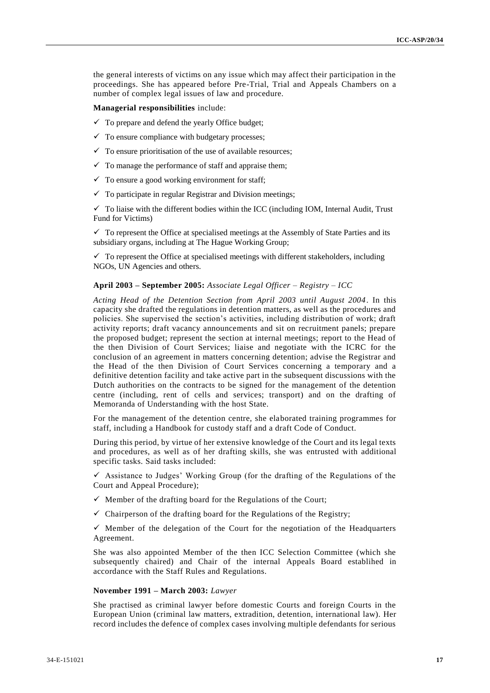the general interests of victims on any issue which may affect their participation in the proceedings. She has appeared before Pre-Trial, Trial and Appeals Chambers on a number of complex legal issues of law and procedure.

**Managerial responsibilities** include:

- $\checkmark$  To prepare and defend the yearly Office budget;
- $\checkmark$  To ensure compliance with budgetary processes;
- $\checkmark$  To ensure prioritisation of the use of available resources;
- $\checkmark$  To manage the performance of staff and appraise them;
- $\checkmark$  To ensure a good working environment for staff;
- $\checkmark$  To participate in regular Registrar and Division meetings;

 $\checkmark$  To liaise with the different bodies within the ICC (including IOM, Internal Audit, Trust Fund for Victims)

 $\checkmark$  To represent the Office at specialised meetings at the Assembly of State Parties and its subsidiary organs, including at The Hague Working Group;

 $\checkmark$  To represent the Office at specialised meetings with different stakeholders, including NGOs, UN Agencies and others.

### **April 2003 – September 2005:** *Associate Legal Officer – Registry – ICC*

*Acting Head of the Detention Section from April 2003 until August 2004*. In this capacity she drafted the regulations in detention matters, as well as the procedures and policies. She supervised the section's activities, including distribution of work; draft activity reports; draft vacancy announcements and sit on recruitment panels; prepare the proposed budget; represent the section at internal meetings; report to the Head of the then Division of Court Services; liaise and negotiate with the ICRC for the conclusion of an agreement in matters concerning detention; advise the Registrar and the Head of the then Division of Court Services concerning a temporary and a definitive detention facility and take active part in the subsequent discussions with the Dutch authorities on the contracts to be signed for the management of the detention centre (including, rent of cells and services; transport) and on the drafting of Memoranda of Understanding with the host State.

For the management of the detention centre, she elaborated training programmes for staff, including a Handbook for custody staff and a draft Code of Conduct.

During this period, by virtue of her extensive knowledge of the Court and its legal texts and procedures, as well as of her drafting skills, she was entrusted with additional specific tasks. Said tasks included:

 $\checkmark$  Assistance to Judges' Working Group (for the drafting of the Regulations of the Court and Appeal Procedure);

- $\checkmark$  Member of the drafting board for the Regulations of the Court;
- $\checkmark$  Chairperson of the drafting board for the Regulations of the Registry;

 $\checkmark$  Member of the delegation of the Court for the negotiation of the Headquarters Agreement.

She was also appointed Member of the then ICC Selection Committee (which she subsequently chaired) and Chair of the internal Appeals Board establihed in accordance with the Staff Rules and Regulations.

### **November 1991 – March 2003:** *Lawyer*

She practised as criminal lawyer before domestic Courts and foreign Courts in the European Union (criminal law matters, extradition, detention, international law). Her record includes the defence of complex cases involving multiple defendants for serious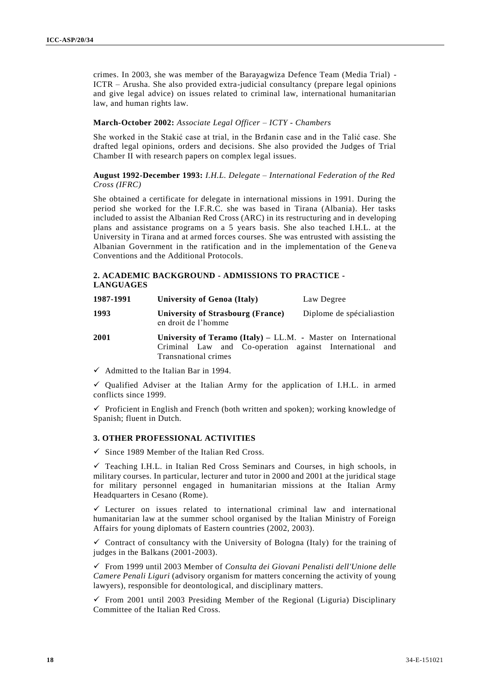crimes. In 2003, she was member of the Barayagwiza Defence Team (Media Trial) - ICTR – Arusha. She also provided extra-judicial consultancy (prepare legal opinions and give legal advice) on issues related to criminal law, international humanitarian law, and human rights law.

# **March-October 2002:** *Associate Legal Officer – ICTY - Chambers*

She worked in the Stakić case at trial, in the Brđanin case and in the Talić case. She drafted legal opinions, orders and decisions. She also provided the Judges of Trial Chamber II with research papers on complex legal issues.

# **August 1992-December 1993:** *I.H.L. Delegate – International Federation of the Red Cross (IFRC)*

She obtained a certificate for delegate in international missions in 1991. During the period she worked for the I.F.R.C. she was based in Tirana (Albania). Her tasks included to assist the Albanian Red Cross (ARC) in its restructuring and in developing plans and assistance programs on a 5 years basis. She also teached I.H.L. at the University in Tirana and at armed forces courses. She was entrusted with assisting the Albanian Government in the ratification and in the implementation of the Gene va Conventions and the Additional Protocols.

# **2. ACADEMIC BACKGROUND - ADMISSIONS TO PRACTICE - LANGUAGES**

| 1987-1991 | University of Genoa (Italy)                                      | Law Degree                |
|-----------|------------------------------------------------------------------|---------------------------|
| 1993      | University of Strasbourg (France)<br>en droit de l'homme         | Diplome de spécialiastion |
| 2001      | University of Teramo (Italy) $-$ LL.M. - Master on International |                           |

Criminal Law and Co-operation against International and Transnational crimes

 $\checkmark$  Admitted to the Italian Bar in 1994.

 $\checkmark$  Qualified Adviser at the Italian Army for the application of I.H.L. in armed conflicts since 1999.

 $\checkmark$  Proficient in English and French (both written and spoken); working knowledge of Spanish; fluent in Dutch.

# **3. OTHER PROFESSIONAL ACTIVITIES**

 $\checkmark$  Since 1989 Member of the Italian Red Cross.

 $\checkmark$  Teaching I.H.L. in Italian Red Cross Seminars and Courses, in high schools, in military courses. In particular, lecturer and tutor in 2000 and 2001 at the juridical stage for military personnel engaged in humanitarian missions at the Italian Army Headquarters in Cesano (Rome).

 $\checkmark$  Lecturer on issues related to international criminal law and international humanitarian law at the summer school organised by the Italian Ministry of Foreign Affairs for young diplomats of Eastern countries (2002, 2003).

 $\checkmark$  Contract of consultancy with the University of Bologna (Italy) for the training of judges in the Balkans (2001-2003).

 From 1999 until 2003 Member of *Consulta dei Giovani Penalisti dell'Unione delle Camere Penali Liguri* (advisory organism for matters concerning the activity of young lawyers), responsible for deontological, and disciplinary matters.

 $\checkmark$  From 2001 until 2003 Presiding Member of the Regional (Liguria) Disciplinary Committee of the Italian Red Cross.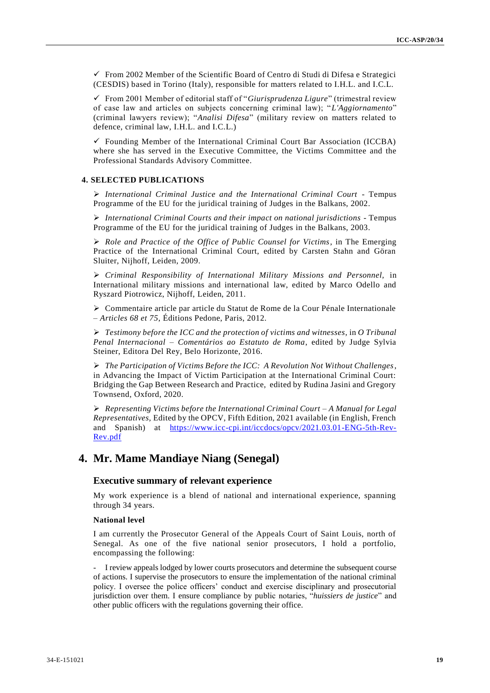$\checkmark$  From 2002 Member of the Scientific Board of Centro di Studi di Difesa e Strategici (CESDIS) based in Torino (Italy), responsible for matters related to I.H.L. and I.C.L.

 From 2001 Member of editorial staff of "*Giurisprudenza Ligure*" (trimestral review of case law and articles on subjects concerning criminal law); "*L'Aggiornamento*" (criminal lawyers review); "*Analisi Difesa*" (military review on matters related to defence, criminal law, I.H.L. and I.C.L.)

 $\checkmark$  Founding Member of the International Criminal Court Bar Association (ICCBA) where she has served in the Executive Committee, the Victims Committee and the Professional Standards Advisory Committee.

#### **4. SELECTED PUBLICATIONS**

 *International Criminal Justice and the International Criminal Court* - Tempus Programme of the EU for the juridical training of Judges in the Balkans, 2002.

 *International Criminal Courts and their impact on national jurisdictions* - Tempus Programme of the EU for the juridical training of Judges in the Balkans, 2003.

 *Role and Practice of the Office of Public Counsel for Victims*, in The Emerging Practice of the International Criminal Court, edited by Carsten Stahn and Göran Sluiter, Nijhoff, Leiden, 2009.

 *Criminal Responsibility of International Military Missions and Personnel,* in International military missions and international law, edited by Marco Odello and Ryszard Piotrowicz, Nijhoff, Leiden, 2011.

 Commentaire article par article du Statut de Rome de la Cour Pénale Internationale – *Articles 68 et 75*, Éditions Pedone, Paris, 2012.

 *Testimony before the ICC and the protection of victims and witnesses*, in *O Tribunal Penal Internacional – Comentários ao Estatuto de Roma*, edited by Judge Sylvia Steiner, Editora Del Rey, Belo Horizonte, 2016.

 *The Participation of Victims Before the ICC: A Revolution Not Without Challenges*, in Advancing the Impact of Victim Participation at the International Criminal Court: Bridging the Gap Between Research and Practice, edited by Rudina Jasini and Gregory Townsend, Oxford, 2020.

 *Representing Victims before the International Criminal Court – A Manual for Legal Representatives,* Edited by the OPCV, Fifth Edition, 2021 available (in English, French and Spanish) at [https://www.icc-cpi.int/iccdocs/opcv/2021.03.01-ENG-5th-Rev-](https://www.icc-cpi.int/iccdocs/opcv/2021.03.01-ENG-5th-Rev-Rev.pdf)[Rev.pdf](https://www.icc-cpi.int/iccdocs/opcv/2021.03.01-ENG-5th-Rev-Rev.pdf)

# **4. Mr. Mame Mandiaye Niang (Senegal)**

# **Executive summary of relevant experience**

My work experience is a blend of national and international experience, spanning through 34 years.

#### **National level**

I am currently the Prosecutor General of the Appeals Court of Saint Louis, north of Senegal. As one of the five national senior prosecutors, I hold a portfolio, encompassing the following:

- I review appeals lodged by lower courts prosecutors and determine the subsequent course of actions. I supervise the prosecutors to ensure the implementation of the national criminal policy. I oversee the police officers' conduct and exercise disciplinary and prosecutorial jurisdiction over them. I ensure compliance by public notaries, "*huissiers de justice*" and other public officers with the regulations governing their office.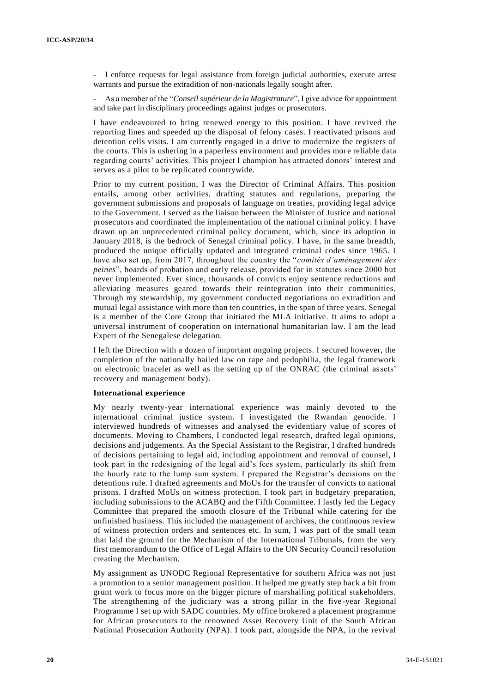- I enforce requests for legal assistance from foreign judicial authorities, execute arrest warrants and pursue the extradition of non-nationals legally sought after.

- As a member of the "*Conseil supérieur de la Magistrature*", I give advice for appointment and take part in disciplinary proceedings against judges or prosecutors.

I have endeavoured to bring renewed energy to this position. I have revived the reporting lines and speeded up the disposal of felony cases. I reactivated prisons and detention cells visits. I am currently engaged in a drive to modernize the registers of the courts. This is ushering in a paperless environment and provides more reliable data regarding courts' activities. This project I champion has attracted donors' interest and serves as a pilot to be replicated countrywide.

Prior to my current position, I was the Director of Criminal Affairs. This position entails, among other activities, drafting statutes and regulations, preparing the government submissions and proposals of language on treaties, providing legal advice to the Government. I served as the liaison between the Minister of Justice and national prosecutors and coordinated the implementation of the national criminal policy. I have drawn up an unprecedented criminal policy document, which, since its adoption in January 2018, is the bedrock of Senegal criminal policy. I have, in the same breadth, produced the unique officially updated and integrated criminal codes since 1965. I have also set up, from 2017, throughout the country the "*comités d'aménagement des peines*", boards of probation and early release, provided for in statutes since 2000 but never implemented. Ever since, thousands of convicts enjoy sentence reductions and alleviating measures geared towards their reintegration into their communities. Through my stewardship, my government conducted negotiations on extradition and mutual legal assistance with more than ten countries, in the span of three years. Senegal is a member of the Core Group that initiated the MLA initiative. It aims to adopt a universal instrument of cooperation on international humanitarian law. I am the lead Expert of the Senegalese delegation.

I left the Direction with a dozen of important ongoing projects. I secured however, the completion of the nationally hailed law on rape and pedophilia, the legal framework on electronic bracelet as well as the setting up of the ONRAC (the criminal assets' recovery and management body).

#### **International experience**

My nearly twenty-year international experience was mainly devoted to the international criminal justice system. I investigated the Rwandan genocide. I interviewed hundreds of witnesses and analysed the evidentiary value of scores of documents. Moving to Chambers, I conducted legal research, drafted legal opinions, decisions and judgements. As the Special Assistant to the Registrar, I drafted hundreds of decisions pertaining to legal aid, including appointment and removal of counsel, I took part in the redesigning of the legal aid's fees system, particularly its shift from the hourly rate to the lump sum system. I prepared the Registrar's decisions on the detentions rule. I drafted agreements and MoUs for the transfer of convicts to national prisons. I drafted MoUs on witness protection. I took part in budgetary preparation, including submissions to the ACABQ and the Fifth Committee. I lastly led the Legacy Committee that prepared the smooth closure of the Tribunal while catering for the unfinished business. This included the management of archives, the continuous review of witness protection orders and sentences etc. In sum, I was part of the small team that laid the ground for the Mechanism of the International Tribunals, from the very first memorandum to the Office of Legal Affairs to the UN Security Council resolution creating the Mechanism.

My assignment as UNODC Regional Representative for southern Africa was not just a promotion to a senior management position. It helped me greatly step back a bit from grunt work to focus more on the bigger picture of marshalling political stakeholders. The strengthening of the judiciary was a strong pillar in the five -year Regional Programme I set up with SADC countries. My office brokered a placement programme for African prosecutors to the renowned Asset Recovery Unit of the South African National Prosecution Authority (NPA). I took part, alongside the NPA, in the revival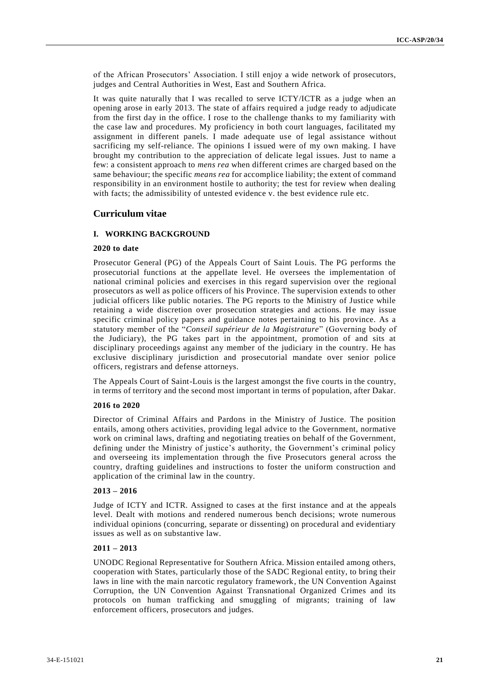of the African Prosecutors' Association. I still enjoy a wide network of prosecutors, judges and Central Authorities in West, East and Southern Africa.

It was quite naturally that I was recalled to serve ICTY/ICTR as a judge when an opening arose in early 2013. The state of affairs required a judge ready to adjudicate from the first day in the office. I rose to the challenge thanks to my familiarity with the case law and procedures. My proficiency in both court languages, facilitated my assignment in different panels. I made adequate use of legal assistance without sacrificing my self-reliance. The opinions I issued were of my own making. I have brought my contribution to the appreciation of delicate legal issues. Just to name a few: a consistent approach to *mens rea* when different crimes are charged based on the same behaviour; the specific *means rea* for accomplice liability; the extent of command responsibility in an environment hostile to authority; the test for review when dealing with facts; the admissibility of untested evidence v. the best evidence rule etc.

# **Curriculum vitae**

# **I. WORKING BACKGROUND**

# **2020 to date**

Prosecutor General (PG) of the Appeals Court of Saint Louis. The PG performs the prosecutorial functions at the appellate level. He oversees the implementation of national criminal policies and exercises in this regard supervision over the regional prosecutors as well as police officers of his Province. The supervision extends to other judicial officers like public notaries. The PG reports to the Ministry of Justice while retaining a wide discretion over prosecution strategies and actions. He may issue specific criminal policy papers and guidance notes pertaining to his province. As a statutory member of the "*Conseil supérieur de la Magistrature*" (Governing body of the Judiciary), the PG takes part in the appointment, promotion of and sits at disciplinary proceedings against any member of the judiciary in the country. He has exclusive disciplinary jurisdiction and prosecutorial mandate over senior police officers, registrars and defense attorneys.

The Appeals Court of Saint-Louis is the largest amongst the five courts in the country, in terms of territory and the second most important in terms of population, after Dakar.

#### **2016 to 2020**

Director of Criminal Affairs and Pardons in the Ministry of Justice. The position entails, among others activities, providing legal advice to the Government, normative work on criminal laws, drafting and negotiating treaties on behalf of the Government, defining under the Ministry of justice's authority, the Government's criminal policy and overseeing its implementation through the five Prosecutors general across the country, drafting guidelines and instructions to foster the uniform construction and application of the criminal law in the country.

#### **2013 – 2016**

Judge of ICTY and ICTR. Assigned to cases at the first instance and at the appeals level. Dealt with motions and rendered numerous bench decisions; wrote numerous individual opinions (concurring, separate or dissenting) on procedural and evidentiary issues as well as on substantive law.

# **2011 – 2013**

UNODC Regional Representative for Southern Africa. Mission entailed among others, cooperation with States, particularly those of the SADC Regional entity, to bring their laws in line with the main narcotic regulatory framework, the UN Convention Against Corruption, the UN Convention Against Transnational Organized Crimes and its protocols on human trafficking and smuggling of migrants; training of law enforcement officers, prosecutors and judges.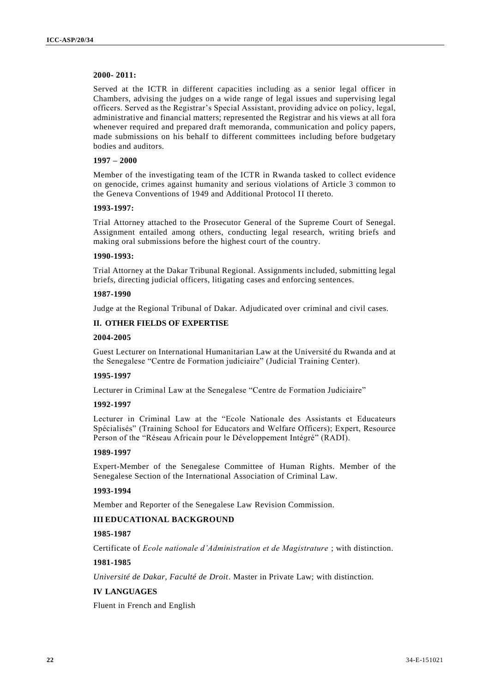# **2000- 2011:**

Served at the ICTR in different capacities including as a senior legal officer in Chambers, advising the judges on a wide range of legal issues and supervising legal officers. Served as the Registrar's Special Assistant, providing advice on policy, legal, administrative and financial matters; represented the Registrar and his views at all fora whenever required and prepared draft memoranda, communication and policy papers, made submissions on his behalf to different committees including before budgetary bodies and auditors.

# **1997 – 2000**

Member of the investigating team of the ICTR in Rwanda tasked to collect evidence on genocide, crimes against humanity and serious violations of Article 3 common to the Geneva Conventions of 1949 and Additional Protocol II thereto.

#### **1993-1997:**

Trial Attorney attached to the Prosecutor General of the Supreme Court of Senegal. Assignment entailed among others, conducting legal research, writing briefs and making oral submissions before the highest court of the country.

#### **1990-1993:**

Trial Attorney at the Dakar Tribunal Regional. Assignments included, submitting legal briefs, directing judicial officers, litigating cases and enforcing sentences.

### **1987-1990**

Judge at the Regional Tribunal of Dakar. Adjudicated over criminal and civil cases.

#### **II. OTHER FIELDS OF EXPERTISE**

### **2004-2005**

Guest Lecturer on International Humanitarian Law at the Université du Rwanda and at the Senegalese "Centre de Formation judiciaire" (Judicial Training Center).

#### **1995-1997**

Lecturer in Criminal Law at the Senegalese "Centre de Formation Judiciaire"

### **1992-1997**

Lecturer in Criminal Law at the "Ecole Nationale des Assistants et Educateurs Spécialisés" (Training School for Educators and Welfare Officers); Expert, Resource Person of the "Réseau Africain pour le Développement Intégré" (RADI).

#### **1989-1997**

Expert-Member of the Senegalese Committee of Human Rights. Member of the Senegalese Section of the International Association of Criminal Law.

# **1993-1994**

Member and Reporter of the Senegalese Law Revision Commission.

# **III EDUCATIONAL BACKGROUND**

### **1985-1987**

Certificate of *Ecole nationale d'Administration et de Magistrature* ; with distinction.

### **1981-1985**

*Université de Dakar, Faculté de Droit*. Master in Private Law; with distinction.

# **IV LANGUAGES**

Fluent in French and English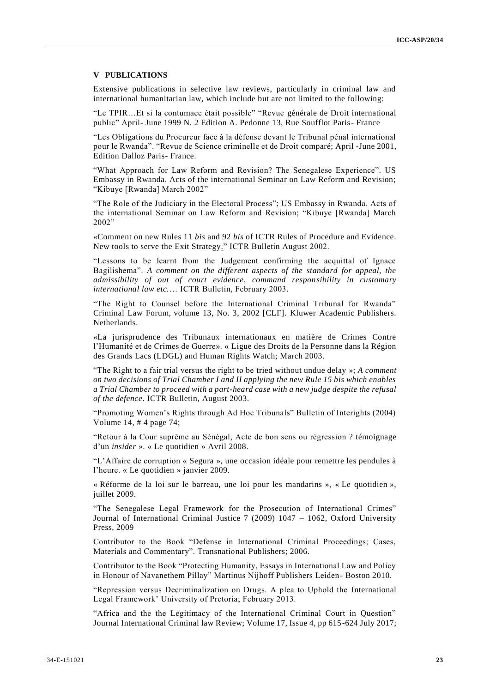#### **V PUBLICATIONS**

Extensive publications in selective law reviews, particularly in criminal law and international humanitarian law, which include but are not limited to the following:

"Le TPIR…Et si la contumace était possible" "Revue générale de Droit international public" April- June 1999 N. 2 Edition A. Pedonne 13, Rue Soufflot Paris- France

"Les Obligations du Procureur face à la défense devant le Tribunal pénal international pour le Rwanda". "Revue de Science criminelle et de Droit comparé; April -June 2001, Edition Dalloz Paris- France.

"What Approach for Law Reform and Revision? The Senegalese Experience". US Embassy in Rwanda. Acts of the international Seminar on Law Reform and Revision; "Kibuye [Rwanda] March 2002"

"The Role of the Judiciary in the Electoral Process"; US Embassy in Rwanda. Acts of the international Seminar on Law Reform and Revision; "Kibuye [Rwanda] March 2002"

«Comment on new Rules 11 *bis* and 92 *bis* of ICTR Rules of Procedure and Evidence. New tools to serve the Exit Strategy." ICTR Bulletin August 2002.

"Lessons to be learnt from the Judgement confirming the acquittal of Ignace Bagilishema". *A comment on the different aspects of the standard for appeal, the admissibility of out of court evidence, command responsibility in customary international law etc.*… ICTR Bulletin, February 2003.

"The Right to Counsel before the International Criminal Tribunal for Rwanda" Criminal Law Forum, volume 13, No. 3, 2002 [CLF]. Kluwer Academic Publishers. Netherlands.

«La jurisprudence des Tribunaux internationaux en matière de Crimes Contre l'Humanité et de Crimes de Guerre». « Ligue des Droits de la Personne dans la Région des Grands Lacs (LDGL) and Human Rights Watch; March 2003.

"The Right to a fair trial versus the right to be tried without undue delay »; *A comment on two decisions of Trial Chamber I and II applying the new Rule 15 bis which enables a Trial Chamber to proceed with a part-heard case with a new judge despite the refusal of the defence*. ICTR Bulletin, August 2003.

"Promoting Women's Rights through Ad Hoc Tribunals" Bulletin of Interights (2004) Volume 14, # 4 page 74;

"Retour à la Cour suprême au Sénégal, Acte de bon sens ou régression ? témoignage d'un *insider* ». « Le quotidien » Avril 2008.

"L'Affaire de corruption « Segura », une occasion idéale pour remettre les pendules à l'heure. « Le quotidien » janvier 2009.

« Réforme de la loi sur le barreau, une loi pour les mandarins », « Le quotidien », juillet 2009.

"The Senegalese Legal Framework for the Prosecution of International Crimes" Journal of International Criminal Justice 7 (2009) 1047 – 1062, Oxford University Press, 2009

Contributor to the Book "Defense in International Criminal Proceedings; Cases, Materials and Commentary". Transnational Publishers; 2006.

Contributor to the Book "Protecting Humanity, Essays in International Law and Policy in Honour of Navanethem Pillay" Martinus Nijhoff Publishers Leiden- Boston 2010.

"Repression versus Decriminalization on Drugs. A plea to Uphold the International Legal Framework' University of Pretoria; February 2013.

"Africa and the the Legitimacy of the International Criminal Court in Question" Journal International Criminal law Review; Volume 17, Issue 4, pp 615-624 July 2017;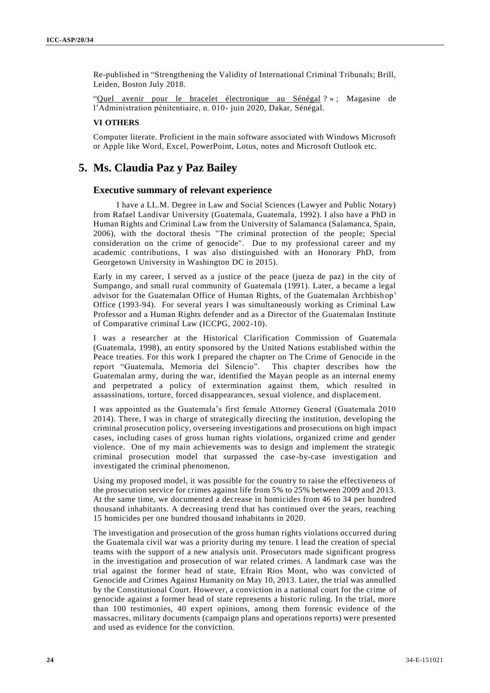Re-published in "Strengthening the Validity of International Criminal Tribunals; Brill, Leiden, Boston July 2018.

"Quel avenir pour le bracelet électronique au Sénégal ? » ; Magasine de l'Administration pénitentiaire, n. 010- juin 2020, Dakar, Sénégal.

#### **VI OTHERS**

Computer literate. Proficient in the main software associated with Windows Microsoft or Apple like Word, Excel, PowerPoint, Lotus, notes and Microsoft Outlook etc.

# **5. Ms. Claudia Paz y Paz Bailey**

# **Executive summary of relevant experience**

I have a LL.M. Degree in Law and Social Sciences (Lawyer and Public Notary) from Rafael Landivar University (Guatemala, Guatemala, 1992). I also have a PhD in Human Rights and Criminal Law from the University of Salamanca (Salamanca, Spain, 2006), with the doctoral thesis "The criminal protection of the people; Special consideration on the crime of genocide". Due to my professional career and my academic contributions, I was also distinguished with an Honorary PhD, from Georgetown University in Washington DC in 2015).

Early in my career, I served as a justice of the peace (jueza de paz) in the city of Sumpango, and small rural community of Guatemala (1991). Later, a became a legal advisor for the Guatemalan Office of Human Rights, of the Guatemalan Archbishop' Office (1993-94). For several years I was simultaneously working as Criminal Law Professor and a Human Rights defender and as a Director of the Guatemalan Institute of Comparative criminal Law (ICCPG, 2002-10).

I was a researcher at the Historical Clarification Commission of Guatemala (Guatemala, 1998), an entity sponsored by the United Nations established within the Peace treaties. For this work I prepared the chapter on The Crime of Genocide in the report "Guatemala, Memoria del Silencio". This chapter describes how the Guatemalan army, during the war, identified the Mayan people as an internal enemy and perpetrated a policy of extermination against them, which resulted in assassinations, torture, forced disappearances, sexual violence, and displacement.

I was appointed as the Guatemala's first female Attorney General (Guatemala 2010 2014). There, I was in charge of strategically directing the institution, developing the criminal prosecution policy, overseeing investigations and prosecutions on high impact cases, including cases of gross human rights violations, organized crime and gender violence. One of my main achievements was to design and implement the strategic criminal prosecution model that surpassed the case-by-case investigation and investigated the criminal phenomenon.

Using my proposed model, it was possible for the country to raise the effectiveness of the prosecution service for crimes against life from 5% to 25% between 2009 and 2013. At the same time, we documented a decrease in homicides from 46 to 34 per hundred thousand inhabitants. A decreasing trend that has continued over the years, reaching 15 homicides per one hundred thousand inhabitants in 2020.

The investigation and prosecution of the gross human rights violations occurred during the Guatemala civil war was a priority during my tenure. I lead the creation of special teams with the support of a new analysis unit. Prosecutors made significant progress in the investigation and prosecution of war related crimes. A landmark case was the trial against the former head of state, Efrain Rios Mont, who was convicted of Genocide and Crimes Against Humanity on May 10, 2013. Later, the trial was annulled by the Constitutional Court. However, a conviction in a national court for the crime of genocide against a former head of state represents a historic ruling. In the trial, more than 100 testimonies, 40 expert opinions, among them forensic evidence of the massacres, military documents (campaign plans and operations reports) were presented and used as evidence for the conviction.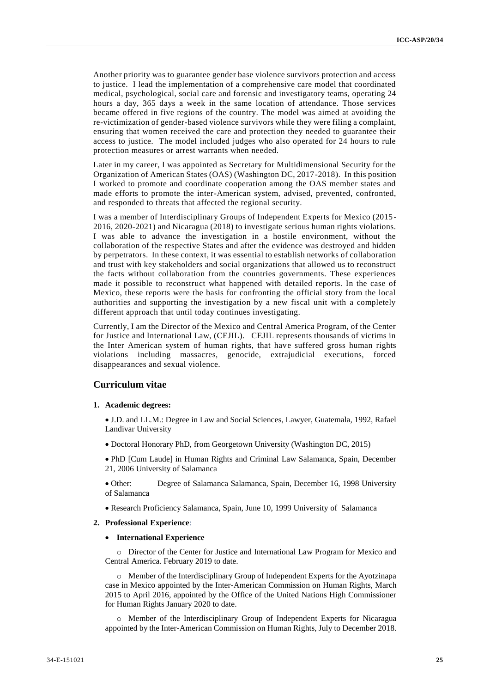Another priority was to guarantee gender base violence survivors protection and access to justice. I lead the implementation of a comprehensive care model that coordinated medical, psychological, social care and forensic and investigatory teams, operating 24 hours a day, 365 days a week in the same location of attendance. Those services became offered in five regions of the country. The model was aimed at avoiding the re-victimization of gender-based violence survivors while they were filing a complaint, ensuring that women received the care and protection they needed to guarantee their access to justice. The model included judges who also operated for 24 hours to rule protection measures or arrest warrants when needed.

Later in my career, I was appointed as Secretary for Multidimensional Security for the Organization of American States (OAS) (Washington DC, 2017-2018). In this position I worked to promote and coordinate cooperation among the OAS member states and made efforts to promote the inter-American system, advised, prevented, confronted, and responded to threats that affected the regional security.

I was a member of Interdisciplinary Groups of Independent Experts for Mexico (2015 - 2016, 2020-2021) and Nicaragua (2018) to investigate serious human rights violations. I was able to advance the investigation in a hostile environment, without the collaboration of the respective States and after the evidence was destroyed and hidden by perpetrators. In these context, it was essential to establish networks of collaboration and trust with key stakeholders and social organizations that allowed us to reconstruct the facts without collaboration from the countries governments. These experiences made it possible to reconstruct what happened with detailed reports. In the case of Mexico, these reports were the basis for confronting the official story from the local authorities and supporting the investigation by a new fiscal unit with a completely different approach that until today continues investigating.

Currently, I am the Director of the Mexico and Central America Program, of the Center for Justice and International Law, (CEJIL). CEJIL represents thousands of victims in the Inter American system of human rights, that have suffered gross human rights violations including massacres, genocide, extrajudicial executions, forced disappearances and sexual violence.

# **Curriculum vitae**

#### **1. Academic degrees:**

- J.D. and LL.M.: Degree in Law and Social Sciences, Lawyer, Guatemala, 1992, Rafael Landivar University
- Doctoral Honorary PhD, from Georgetown University (Washington DC, 2015)
- PhD [Cum Laude] in Human Rights and Criminal Law Salamanca, Spain, December 21, 2006 University of Salamanca
- Other: Degree of Salamanca Salamanca, Spain, December 16, 1998 University of Salamanca
- Research Proficiency Salamanca, Spain, June 10, 1999 University of Salamanca

#### **2. Professional Experience:**

#### **International Experience**

o Director of the Center for Justice and International Law Program for Mexico and Central America. February 2019 to date.

o Member of the Interdisciplinary Group of Independent Experts for the Ayotzinapa case in Mexico appointed by the Inter-American Commission on Human Rights, March 2015 to April 2016, appointed by the Office of the United Nations High Commissioner for Human Rights January 2020 to date.

o Member of the Interdisciplinary Group of Independent Experts for Nicaragua appointed by the Inter-American Commission on Human Rights, July to December 2018.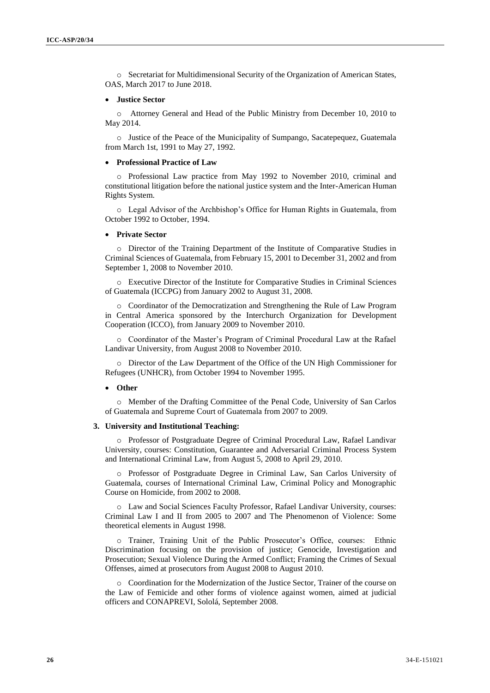o Secretariat for Multidimensional Security of the Organization of American States, OAS, March 2017 to June 2018.

#### **Justice Sector**

o Attorney General and Head of the Public Ministry from December 10, 2010 to May 2014.

o Justice of the Peace of the Municipality of Sumpango, Sacatepequez, Guatemala from March 1st, 1991 to May 27, 1992.

#### **Professional Practice of Law**

o Professional Law practice from May 1992 to November 2010, criminal and constitutional litigation before the national justice system and the Inter-American Human Rights System.

o Legal Advisor of the Archbishop's Office for Human Rights in Guatemala, from October 1992 to October, 1994.

#### **Private Sector**

o Director of the Training Department of the Institute of Comparative Studies in Criminal Sciences of Guatemala, from February 15, 2001 to December 31, 2002 and from September 1, 2008 to November 2010.

o Executive Director of the Institute for Comparative Studies in Criminal Sciences of Guatemala (ICCPG) from January 2002 to August 31, 2008.

o Coordinator of the Democratization and Strengthening the Rule of Law Program in Central America sponsored by the Interchurch Organization for Development Cooperation (ICCO), from January 2009 to November 2010.

o Coordinator of the Master's Program of Criminal Procedural Law at the Rafael Landivar University, from August 2008 to November 2010.

o Director of the Law Department of the Office of the UN High Commissioner for Refugees (UNHCR), from October 1994 to November 1995.

#### **Other**

o Member of the Drafting Committee of the Penal Code, University of San Carlos of Guatemala and Supreme Court of Guatemala from 2007 to 2009.

#### **3. University and Institutional Teaching:**

o Professor of Postgraduate Degree of Criminal Procedural Law, Rafael Landivar University, courses: Constitution, Guarantee and Adversarial Criminal Process System and International Criminal Law, from August 5, 2008 to April 29, 2010.

o Professor of Postgraduate Degree in Criminal Law, San Carlos University of Guatemala, courses of International Criminal Law, Criminal Policy and Monographic Course on Homicide, from 2002 to 2008.

o Law and Social Sciences Faculty Professor, Rafael Landivar University, courses: Criminal Law I and II from 2005 to 2007 and The Phenomenon of Violence: Some theoretical elements in August 1998.

o Trainer, Training Unit of the Public Prosecutor's Office, courses: Ethnic Discrimination focusing on the provision of justice; Genocide, Investigation and Prosecution; Sexual Violence During the Armed Conflict; Framing the Crimes of Sexual Offenses, aimed at prosecutors from August 2008 to August 2010.

o Coordination for the Modernization of the Justice Sector, Trainer of the course on the Law of Femicide and other forms of violence against women, aimed at judicial officers and CONAPREVI, Sololá, September 2008.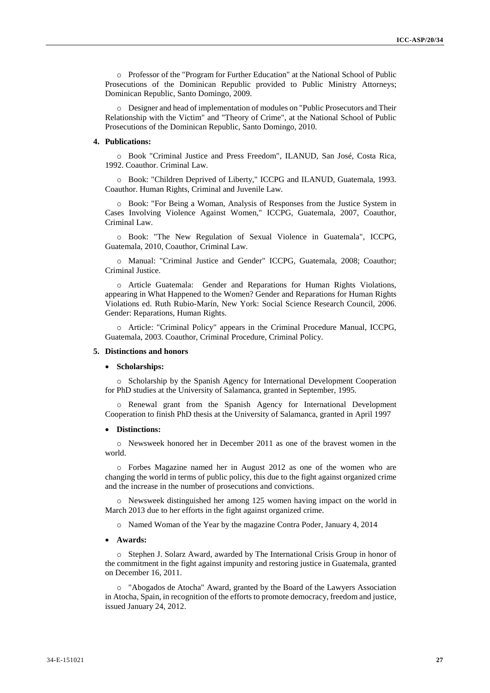o Professor of the "Program for Further Education" at the National School of Public Prosecutions of the Dominican Republic provided to Public Ministry Attorneys; Dominican Republic, Santo Domingo, 2009.

o Designer and head of implementation of modules on "Public Prosecutors and Their Relationship with the Victim" and "Theory of Crime", at the National School of Public Prosecutions of the Dominican Republic, Santo Domingo, 2010.

#### **4. Publications:**

o Book "Criminal Justice and Press Freedom", ILANUD, San José, Costa Rica, 1992. Coauthor. Criminal Law.

o Book: "Children Deprived of Liberty," ICCPG and ILANUD, Guatemala, 1993. Coauthor. Human Rights, Criminal and Juvenile Law.

o Book: "For Being a Woman, Analysis of Responses from the Justice System in Cases Involving Violence Against Women," ICCPG, Guatemala, 2007, Coauthor, Criminal Law.

o Book: "The New Regulation of Sexual Violence in Guatemala", ICCPG, Guatemala, 2010, Coauthor, Criminal Law.

o Manual: "Criminal Justice and Gender" ICCPG, Guatemala, 2008; Coauthor; Criminal Justice.

o Article Guatemala: Gender and Reparations for Human Rights Violations, appearing in What Happened to the Women? Gender and Reparations for Human Rights Violations ed. Ruth Rubio-Marín, New York: Social Science Research Council, 2006. Gender: Reparations, Human Rights.

o Article: "Criminal Policy" appears in the Criminal Procedure Manual, ICCPG, Guatemala, 2003. Coauthor, Criminal Procedure, Criminal Policy.

### **5. Distinctions and honors**

#### **Scholarships:**

o Scholarship by the Spanish Agency for International Development Cooperation for PhD studies at the University of Salamanca, granted in September, 1995.

o Renewal grant from the Spanish Agency for International Development Cooperation to finish PhD thesis at the University of Salamanca, granted in April 1997

#### **Distinctions:**

o Newsweek honored her in December 2011 as one of the bravest women in the world.

o Forbes Magazine named her in August 2012 as one of the women who are changing the world in terms of public policy, this due to the fight against organized crime and the increase in the number of prosecutions and convictions.

 $\circ$  Newsweek distinguished her among 125 women having impact on the world in March 2013 due to her efforts in the fight against organized crime.

o Named Woman of the Year by the magazine Contra Poder, January 4, 2014

#### **Awards:**

o Stephen J. Solarz Award, awarded by The International Crisis Group in honor of the commitment in the fight against impunity and restoring justice in Guatemala, granted on December 16, 2011.

o "Abogados de Atocha" Award, granted by the Board of the Lawyers Association in Atocha, Spain, in recognition of the efforts to promote democracy, freedom and justice, issued January 24, 2012.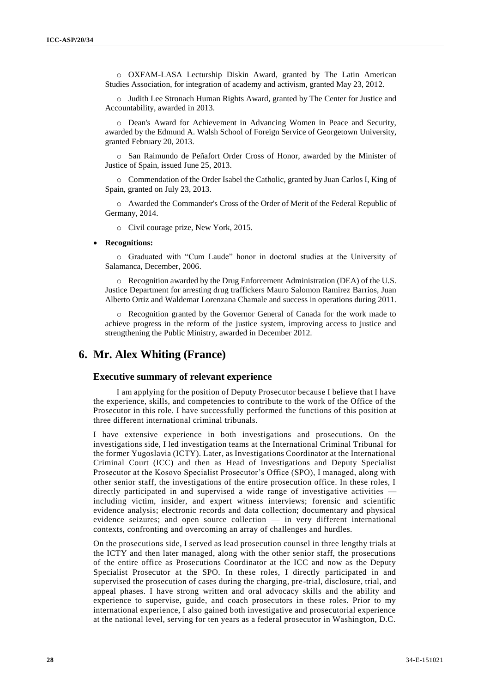o OXFAM-LASA Lecturship Diskin Award, granted by The Latin American Studies Association, for integration of academy and activism, granted May 23, 2012.

o Judith Lee Stronach Human Rights Award, granted by The Center for Justice and Accountability, awarded in 2013.

o Dean's Award for Achievement in Advancing Women in Peace and Security, awarded by the Edmund A. Walsh School of Foreign Service of Georgetown University, granted February 20, 2013.

o San Raimundo de Peñafort Order Cross of Honor, awarded by the Minister of Justice of Spain, issued June 25, 2013.

o Commendation of the Order Isabel the Catholic, granted by Juan Carlos I, King of Spain, granted on July 23, 2013.

o Awarded the Commander's Cross of the Order of Merit of the Federal Republic of Germany, 2014.

o Civil courage prize, New York, 2015.

#### **Recognitions:**

o Graduated with "Cum Laude" honor in doctoral studies at the University of Salamanca, December, 2006.

o Recognition awarded by the Drug Enforcement Administration (DEA) of the U.S. Justice Department for arresting drug traffickers Mauro Salomon Ramirez Barrios, Juan Alberto Ortiz and Waldemar Lorenzana Chamale and success in operations during 2011.

o Recognition granted by the Governor General of Canada for the work made to achieve progress in the reform of the justice system, improving access to justice and strengthening the Public Ministry, awarded in December 2012.

# **6. Mr. Alex Whiting (France)**

### **Executive summary of relevant experience**

I am applying for the position of Deputy Prosecutor because I believe that I have the experience, skills, and competencies to contribute to the work of the Office of the Prosecutor in this role. I have successfully performed the functions of this position at three different international criminal tribunals.

I have extensive experience in both investigations and prosecutions. On the investigations side, I led investigation teams at the International Criminal Tribunal for the former Yugoslavia (ICTY). Later, as Investigations Coordinator at the International Criminal Court (ICC) and then as Head of Investigations and Deputy Specialist Prosecutor at the Kosovo Specialist Prosecutor's Office (SPO), I managed, along with other senior staff, the investigations of the entire prosecution office. In these roles, I directly participated in and supervised a wide range of investigative activities including victim, insider, and expert witness interviews; forensic and scientific evidence analysis; electronic records and data collection; documentary and physical evidence seizures; and open source collection — in very different international contexts, confronting and overcoming an array of challenges and hurdles.

On the prosecutions side, I served as lead prosecution counsel in three lengthy trials at the ICTY and then later managed, along with the other senior staff, the prosecutions of the entire office as Prosecutions Coordinator at the ICC and now as the Deputy Specialist Prosecutor at the SPO. In these roles, I directly participated in and supervised the prosecution of cases during the charging, pre-trial, disclosure, trial, and appeal phases. I have strong written and oral advocacy skills and the ability and experience to supervise, guide, and coach prosecutors in these roles. Prior to my international experience, I also gained both investigative and prosecutorial experience at the national level, serving for ten years as a federal prosecutor in Washington, D.C.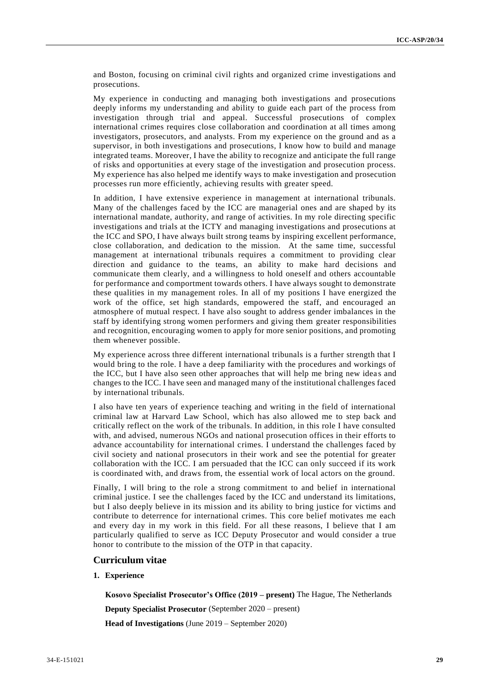and Boston, focusing on criminal civil rights and organized crime investigations and prosecutions.

My experience in conducting and managing both investigations and prosecutions deeply informs my understanding and ability to guide each part of the process from investigation through trial and appeal. Successful prosecutions of complex international crimes requires close collaboration and coordination at all times among investigators, prosecutors, and analysts. From my experience on the ground and as a supervisor, in both investigations and prosecutions, I know how to build and manage integrated teams. Moreover, I have the ability to recognize and anticipate the full range of risks and opportunities at every stage of the investigation and prosecution process. My experience has also helped me identify ways to make investigation and prosecution processes run more efficiently, achieving results with greater speed.

In addition, I have extensive experience in management at international tribunals. Many of the challenges faced by the ICC are managerial ones and are shaped by its international mandate, authority, and range of activities. In my role directing specific investigations and trials at the ICTY and managing investigations and prosecutions at the ICC and SPO, I have always built strong teams by inspiring excellent performance, close collaboration, and dedication to the mission. At the same time, successful management at international tribunals requires a commitment to providing clear direction and guidance to the teams, an ability to make hard decisions and communicate them clearly, and a willingness to hold oneself and others accountable for performance and comportment towards others. I have always sought to demonstrate these qualities in my management roles. In all of my positions I have energized the work of the office, set high standards, empowered the staff, and encouraged an atmosphere of mutual respect. I have also sought to address gender imbalances in the staff by identifying strong women performers and giving them greater responsibilities and recognition, encouraging women to apply for more senior positions, and promoting them whenever possible.

My experience across three different international tribunals is a further strength that I would bring to the role. I have a deep familiarity with the procedures and workings of the ICC, but I have also seen other approaches that will help me bring new idea s and changes to the ICC. I have seen and managed many of the institutional challenges faced by international tribunals.

I also have ten years of experience teaching and writing in the field of international criminal law at Harvard Law School, which has also allowed me to step back and critically reflect on the work of the tribunals. In addition, in this role I have consulted with, and advised, numerous NGOs and national prosecution offices in their efforts to advance accountability for international crimes. I understand the challenges faced by civil society and national prosecutors in their work and see the potential for greater collaboration with the ICC. I am persuaded that the ICC can only succeed if its work is coordinated with, and draws from, the essential work of local actors on the ground.

Finally, I will bring to the role a strong commitment to and belief in international criminal justice. I see the challenges faced by the ICC and understand its limitations, but I also deeply believe in its mission and its ability to bring justice for victims and contribute to deterrence for international crimes. This core belief motivates me each and every day in my work in this field. For all these reasons, I believe that I am particularly qualified to serve as ICC Deputy Prosecutor and would consider a true honor to contribute to the mission of the OTP in that capacity.

#### **Curriculum vitae**

# **1. Experience**

**Kosovo Specialist Prosecutor's Office (2019 – present)** The Hague, The Netherlands

**Deputy Specialist Prosecutor** (September 2020 – present) **Head of Investigations** (June 2019 – September 2020)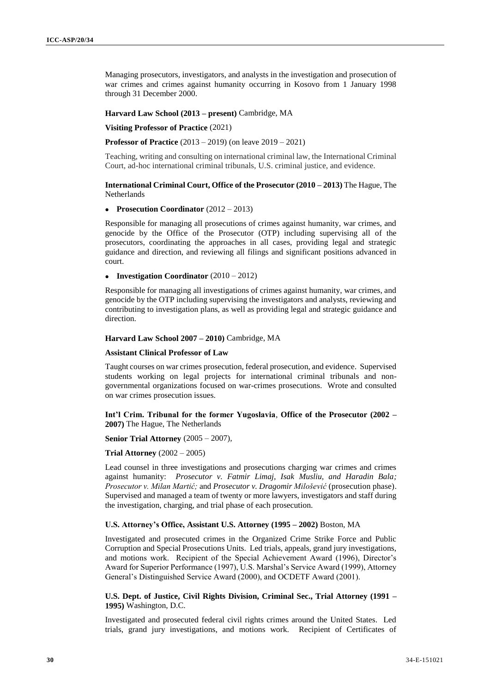Managing prosecutors, investigators, and analysts in the investigation and prosecution of war crimes and crimes against humanity occurring in Kosovo from 1 January 1998 through 31 December 2000.

**Harvard Law School (2013 – present)** Cambridge, MA

**Visiting Professor of Practice** (2021)

**Professor of Practice** (2013 – 2019) (on leave 2019 – 2021)

Teaching, writing and consulting on international criminal law, the International Criminal Court, ad-hoc international criminal tribunals, U.S. criminal justice, and evidence.

**International Criminal Court, Office of the Prosecutor (2010 – 2013)** The Hague, The Netherlands

**Prosecution Coordinator** (2012 – 2013)

Responsible for managing all prosecutions of crimes against humanity, war crimes, and genocide by the Office of the Prosecutor (OTP) including supervising all of the prosecutors, coordinating the approaches in all cases, providing legal and strategic guidance and direction, and reviewing all filings and significant positions advanced in court.

**Investigation Coordinator** (2010 – 2012)

Responsible for managing all investigations of crimes against humanity, war crimes, and genocide by the OTP including supervising the investigators and analysts, reviewing and contributing to investigation plans, as well as providing legal and strategic guidance and direction.

#### **Harvard Law School 2007 – 2010)** Cambridge, MA

#### **Assistant Clinical Professor of Law**

Taught courses on war crimes prosecution, federal prosecution, and evidence. Supervised students working on legal projects for international criminal tribunals and nongovernmental organizations focused on war-crimes prosecutions. Wrote and consulted on war crimes prosecution issues.

**Int'l Crim. Tribunal for the former Yugoslavia**, **Office of the Prosecutor (2002 – 2007)** The Hague, The Netherlands

#### **Senior Trial Attorney** (2005 – 2007)*,*

**Trial Attorney** (2002 – 2005)

Lead counsel in three investigations and prosecutions charging war crimes and crimes against humanity: *Prosecutor v. Fatmir Limaj, Isak Musliu, and Haradin Bala; Prosecutor v. Milan Martić;* and *Prosecutor v. Dragomir Milošević* (prosecution phase). Supervised and managed a team of twenty or more lawyers, investigators and staff during the investigation, charging, and trial phase of each prosecution.

#### **U.S. Attorney's Office, Assistant U.S. Attorney (1995 – 2002)** Boston, MA

Investigated and prosecuted crimes in the Organized Crime Strike Force and Public Corruption and Special Prosecutions Units. Led trials, appeals, grand jury investigations, and motions work. Recipient of the Special Achievement Award (1996), Director's Award for Superior Performance (1997), U.S. Marshal's Service Award (1999), Attorney General's Distinguished Service Award (2000), and OCDETF Award (2001).

**U.S. Dept. of Justice, Civil Rights Division, Criminal Sec., Trial Attorney (1991 – 1995)** Washington, D.C.

Investigated and prosecuted federal civil rights crimes around the United States. Led trials, grand jury investigations, and motions work. Recipient of Certificates of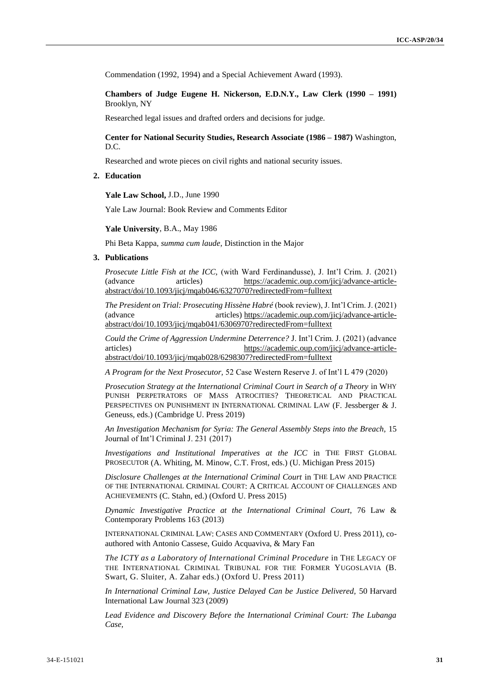Commendation (1992, 1994) and a Special Achievement Award (1993).

**Chambers of Judge Eugene H. Nickerson, E.D.N.Y., Law Clerk (1990 – 1991)** Brooklyn, NY

Researched legal issues and drafted orders and decisions for judge.

**Center for National Security Studies, Research Associate (1986 – 1987)** Washington, D.C.

Researched and wrote pieces on civil rights and national security issues.

**2. Education** 

**Yale Law School,** J.D., June 1990

Yale Law Journal: Book Review and Comments Editor

**Yale University**, B.A., May 1986

Phi Beta Kappa, *summa cum laude,* Distinction in the Major

#### **3. Publications**

*Prosecute Little Fish at the ICC,* (with Ward Ferdinandusse), J. Int'l Crim. J. (2021) (advance articles) [https://academic.oup.com/jicj/advance-article](https://academic.oup.com/jicj/advance-article-abstract/doi/10.1093/jicj/mqab046/6327070?redirectedFrom=fulltext)[abstract/doi/10.1093/jicj/mqab046/6327070?redirectedFrom=fulltext](https://academic.oup.com/jicj/advance-article-abstract/doi/10.1093/jicj/mqab046/6327070?redirectedFrom=fulltext)

*The President on Trial: Prosecuting Hissène Habré* (book review), J. Int'l Crim. J. (2021) (advance articles) [https://academic.oup.com/jicj/advance-article](https://academic.oup.com/jicj/advance-article-abstract/doi/10.1093/jicj/mqab041/6306970?redirectedFrom=fulltext)[abstract/doi/10.1093/jicj/mqab041/6306970?redirectedFrom=fulltext](https://academic.oup.com/jicj/advance-article-abstract/doi/10.1093/jicj/mqab041/6306970?redirectedFrom=fulltext) 

*Could the Crime of Aggression Undermine Deterrence?* J. Int'l Crim. J. (2021) (advance articles) [https://academic.oup.com/jicj/advance-article](https://academic.oup.com/jicj/advance-article-abstract/doi/10.1093/jicj/mqab028/6298307?redirectedFrom=fulltext)[abstract/doi/10.1093/jicj/mqab028/6298307?redirectedFrom=fulltext](https://academic.oup.com/jicj/advance-article-abstract/doi/10.1093/jicj/mqab028/6298307?redirectedFrom=fulltext)

*A Program for the Next Prosecutor,* 52 Case Western Reserve J. of Int'l L 479 (2020)

*Prosecution Strategy at the International Criminal Court in Search of a Theory in WHY* PUNISH PERPETRATORS OF MASS ATROCITIES? THEORETICAL AND PRACTICAL PERSPECTIVES ON PUNISHMENT IN INTERNATIONAL CRIMINAL LAW (F. Jessberger & J. Geneuss, eds.) (Cambridge U. Press 2019)

*An Investigation Mechanism for Syria: The General Assembly Steps into the Breach,* 15 Journal of Int'l Criminal J. 231 (2017)

*Investigations and Institutional Imperatives at the ICC* in THE FIRST GLOBAL PROSECUTOR (A. Whiting, M. Minow, C.T. Frost, eds.) (U. Michigan Press 2015)

*Disclosure Challenges at the International Criminal Court* in THE LAW AND PRACTICE OF THE INTERNATIONAL CRIMINAL COURT: A CRITICAL ACCOUNT OF CHALLENGES AND ACHIEVEMENTS (C. Stahn, ed.) (Oxford U. Press 2015)

*Dynamic Investigative Practice at the International Criminal Court*, 76 Law & Contemporary Problems 163 (2013)

INTERNATIONAL CRIMINAL LAW: CASES AND COMMENTARY (Oxford U. Press 2011), coauthored with Antonio Cassese, Guido Acquaviva, & Mary Fan

*The ICTY as a Laboratory of International Criminal Procedure* in THE LEGACY OF THE INTERNATIONAL CRIMINAL TRIBUNAL FOR THE FORMER YUGOSLAVIA (B. Swart, G. Sluiter, A. Zahar eds.) (Oxford U. Press 2011)

*In International Criminal Law, Justice Delayed Can be Justice Delivered,* 50 Harvard International Law Journal 323 (2009)

*Lead Evidence and Discovery Before the International Criminal Court: The Lubanga Case,*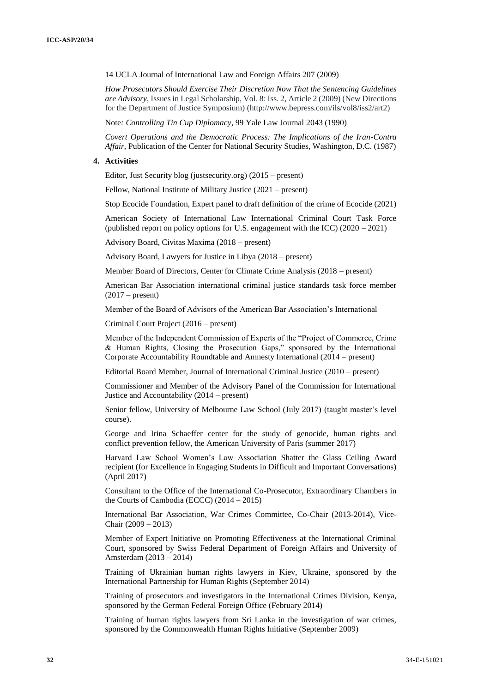14 UCLA Journal of International Law and Foreign Affairs 207 (2009)

*How Prosecutors Should Exercise Their Discretion Now That the Sentencing Guidelines are Advisory*, Issues in Legal Scholarship, Vol. 8: Iss. 2, Article 2 (2009) (New Directions for the Department of Justice Symposium) (http://www.bepress.com/ils/vol8/iss2/art2)

Note*: Controlling Tin Cup Diplomacy*, 99 Yale Law Journal 2043 (1990)

*Covert Operations and the Democratic Process: The Implications of the Iran-Contra Affair*, Publication of the Center for National Security Studies, Washington, D.C. (1987)

#### **4. Activities**

Editor, Just Security blog (justsecurity.org) (2015 – present)

Fellow, National Institute of Military Justice (2021 – present)

Stop Ecocide Foundation, Expert panel to draft definition of the crime of Ecocide (2021)

American Society of International Law International Criminal Court Task Force (published report on policy options for U.S. engagement with the ICC) (2020 – 2021)

Advisory Board, Civitas Maxima (2018 – present)

Advisory Board, Lawyers for Justice in Libya (2018 – present)

Member Board of Directors, Center for Climate Crime Analysis (2018 – present)

American Bar Association international criminal justice standards task force member  $(2017 - present)$ 

Member of the Board of Advisors of the American Bar Association's International

Criminal Court Project (2016 – present)

Member of the Independent Commission of Experts of the "Project of Commerce, Crime & Human Rights, Closing the Prosecution Gaps," sponsored by the International Corporate Accountability Roundtable and Amnesty International (2014 – present)

Editorial Board Member, Journal of International Criminal Justice (2010 – present)

Commissioner and Member of the Advisory Panel of the Commission for International Justice and Accountability (2014 – present)

Senior fellow, University of Melbourne Law School (July 2017) (taught master's level course).

George and Irina Schaeffer center for the study of genocide, human rights and conflict prevention fellow, the American University of Paris (summer 2017)

Harvard Law School Women's Law Association Shatter the Glass Ceiling Award recipient (for Excellence in Engaging Students in Difficult and Important Conversations) (April 2017)

Consultant to the Office of the International Co-Prosecutor, Extraordinary Chambers in the Courts of Cambodia (ECCC) (2014 – 2015)

International Bar Association, War Crimes Committee, Co-Chair (2013-2014), Vice-Chair (2009 – 2013)

Member of Expert Initiative on Promoting Effectiveness at the International Criminal Court, sponsored by Swiss Federal Department of Foreign Affairs and University of Amsterdam (2013 – 2014)

Training of Ukrainian human rights lawyers in Kiev, Ukraine, sponsored by the International Partnership for Human Rights (September 2014)

Training of prosecutors and investigators in the International Crimes Division, Kenya, sponsored by the German Federal Foreign Office (February 2014)

Training of human rights lawyers from Sri Lanka in the investigation of war crimes, sponsored by the Commonwealth Human Rights Initiative (September 2009)